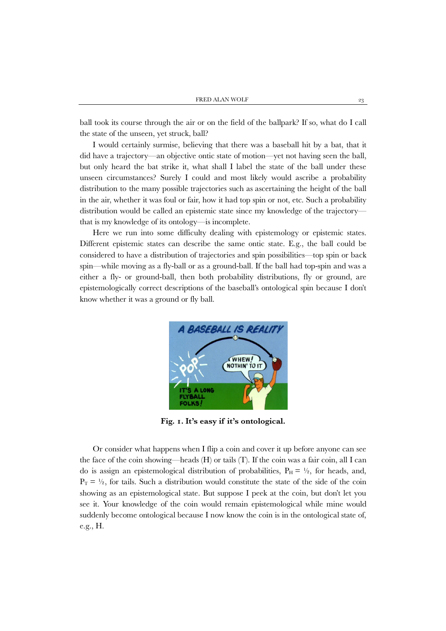ball took its course through the air or on the field of the ballpark? If so, what do I call the state of the unseen, yet struck, ball?

I would certainly surmise, believing that there was a baseball hit by a bat, that it did have a trajectory—an objective ontic state of motion—yet not having seen the ball, but only heard the bat strike it, what shall I label the state of the ball under these unseen circumstances? Surely I could and most likely would ascribe a probability distribution to the many possible trajectories such as ascertaining the height of the ball in the air, whether it was foul or fair, how it had top spin or not, etc. Such a probability distribution would be called an epistemic state since my knowledge of the trajectory that is my knowledge of its ontology—is incomplete.

Here we run into some difficulty dealing with epistemology or epistemic states. Different epistemic states can describe the same ontic state. E.g., the ball could be considered to have a distribution of trajectories and spin possibilities—top spin or back spin—while moving as a fly-ball or as a ground-ball. If the ball had top-spin and was a either a fly- or ground-ball, then both probability distributions, fly or ground, are epistemologically correct descriptions of the baseball's ontological spin because I don't know whether it was a ground or fly ball.



**Fig. 1. It's easy if it's ontological.**

Or consider what happens when I flip a coin and cover it up before anyone can see the face of the coin showing—heads (H) or tails (T). If the coin was a fair coin, all I can do is assign an epistemological distribution of probabilities,  $P_H = \frac{1}{2}$ , for heads, and,  $P_T = \frac{1}{2}$ , for tails. Such a distribution would constitute the state of the side of the coin showing as an epistemological state. But suppose I peek at the coin, but don't let you see it. Your knowledge of the coin would remain epistemological while mine would suddenly become ontological because I now know the coin is in the ontological state of, e.g., H.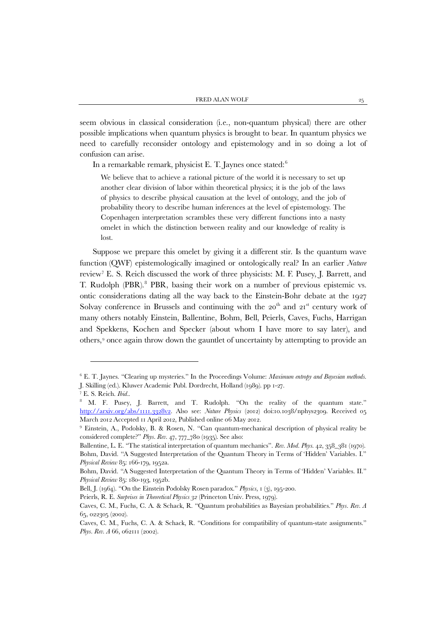seem obvious in classical consideration (i.e., non-quantum physical) there are other possible implications when quantum physics is brought to bear. In quantum physics we need to carefully reconsider ontology and epistemology and in so doing a lot of confusion can arise.

In a remarkable remark, physicist E. T. Jaynes once stated: $6$ 

We believe that to achieve a rational picture of the world it is necessary to set up another clear division of labor within theoretical physics; it is the job of the laws of physics to describe physical causation at the level of ontology, and the job of probability theory to describe human inferences at the level of epistemology. The Copenhagen interpretation scrambles these very different functions into a nasty omelet in which the distinction between reality and our knowledge of reality is lost.

Suppose we prepare this omelet by giving it a different stir. Is the quantum wave function (QWF) epistemologically imagined or ontologically real? In an earlier *Nature* review[7](#page-5-1) E. S. Reich discussed the work of three physicists: M. F. Pusey, J. Barrett, and T. Rudolph (PBR).<sup>[8](#page-5-2)</sup> PBR, basing their work on a number of previous epistemic vs. ontic considerations dating all the way back to the Einstein-Bohr debate at the 1927 Solvay conference in Brussels and continuing with the  $20<sup>th</sup>$  and  $21<sup>st</sup>$  century work of many others notably Einstein, Ballentine, Bohm, Bell, Peierls, Caves, Fuchs, Harrigan and Spekkens, Kochen and Specker (about whom I have more to say later), and others, [9](#page-5-3) once again throw down the gauntlet of uncertainty by attempting to provide an

 $\overline{\phantom{a}}$ 

<span id="page-5-0"></span><sup>6</sup> E. T. Jaynes. "Clearing up mysteries." In the Proceedings Volume: *Maximum entropy and Bayesian methods*. J. Skilling (ed.). Kluwer Academic Publ. Dordrecht, Holland (1989). pp 1-27.

<span id="page-5-2"></span><span id="page-5-1"></span><sup>&</sup>lt;sup>7</sup> E. S. Reich. *Ibid.*. **10. 8 M. F. Pusey, J. Barrett, and T. Rudolph.** "On the reality of the quantum state." [http://arxiv.org/abs/1111.3328v2.](http://arxiv.org/abs/1111.3328v2) Also see: *Nature Physics* (2012) doi:10.1038/nphys2309. Received 05 March 2012 Accepted 11 April 2012, Published online 06 May 2012.

<span id="page-5-3"></span><sup>9</sup> Einstein, A., Podolsky, B. & Rosen, N. "Can quantum-mechanical description of physical reality be considered complete?" *Phys. Rev.* 47, 777\_780 (1935). See also:

Ballentine, L. E. "The statistical interpretation of quantum mechanics". *Rev. Mod. Phys*. 42, 358\_381 (1970). Bohm, David. "A Suggested Interpretation of the Quantum Theory in Terms of 'Hidden' Variables. I." *Physical Review* 85: 166-179, 1952a.

Bohm, David. "A Suggested Interpretation of the Quantum Theory in Terms of 'Hidden' Variables. II." *Physical Review* 85: 180-193, 1952b.

Bell, J. (1964). "On the Einstein Podolsky Rosen paradox." *Physics*, 1 (3), 195-200.

Peierls, R. E. *Surprises in Theoretical Physics 32* (Princeton Univ. Press, 1979).

Caves, C. M., Fuchs, C. A. & Schack, R. "Quantum probabilities as Bayesian probabilities." *Phys. Rev. A*  65, 022305 (2002).

Caves, C. M., Fuchs, C. A. & Schack, R. "Conditions for compatibility of quantum-state assignments." *Phys. Rev. A* 66, 062111 (2002).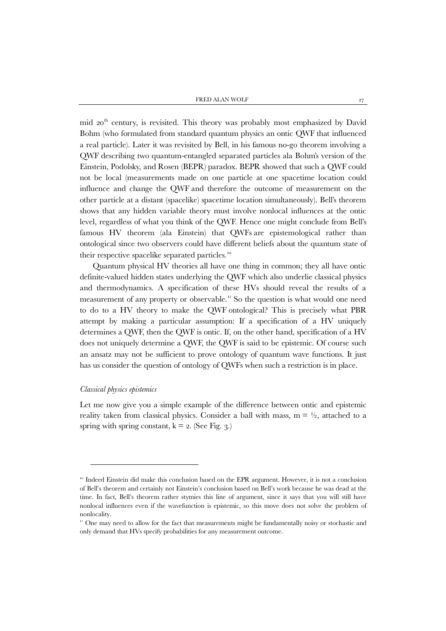mid 20<sup>th</sup> century, is revisited. This theory was probably most emphasized by David Bohm (who formulated from standard quantum physics an ontic QWF that influenced a real particle). Later it was revisited by Bell, in his famous no-go theorem involving a QWF describing two quantum-entangled separated particles ala Bohm's version of the Einstein, Podolsky, and Rosen (BEPR) paradox. BEPR showed that such a QWF could not be local (measurements made on one particle at one spacetime location could influence and change the QWF and therefore the outcome of measurement on the other particle at a distant (spacelike) spacetime location simultaneously). Bell's theorem shows that any hidden variable theory must involve nonlocal influences at the ontic level, regardless of what you think of the QWF. Hence one might conclude from Bell's famous HV theorem (ala Einstein) that QWFs are epistemological rather than ontological since two observers could have different beliefs about the quantum state of their respective spacelike separated particles.<sup>[10](#page-7-0)</sup>

Quantum physical HV theories all have one thing in common; they all have ontic definite-valued hidden states underlying the QWF which also underlie classical physics and thermodynamics. A specification of these HVs should reveal the results of a measurement of any property or observable.[11](#page-7-1) So the question is what would one need to do to a HV theory to make the QWF ontological? This is precisely what PBR attempt by making a particular assumption: If a specification of a HV uniquely determines a QWF, then the QWF is ontic. If, on the other hand, specification of a HV does not uniquely determine a QWF, the QWF is said to be epistemic. Of course such an ansatz may not be sufficient to prove ontology of quantum wave functions. It just has us consider the question of ontology of QWFs when such a restriction is in place.

## *Classical physics epistemics*

1

Let me now give you a simple example of the difference between ontic and epistemic reality taken from classical physics. Consider a ball with mass,  $m = \frac{1}{2}$ , attached to a spring with spring constant,  $k = 2$ . (See Fig. 3.)

<span id="page-7-0"></span><sup>&</sup>lt;sup>10</sup> Indeed Einstein did make this conclusion based on the EPR argument. However, it is not a conclusion of Bell's theorem and certainly not Einstein's conclusion based on Bell's work because he was dead at the time. In fact, Bell's theorem rather stymies this line of argument, since it says that you will still have nonlocal influences even if the wavefunction is epistemic, so this move does not solve the problem of nonlocality.

<span id="page-7-1"></span><sup>&</sup>lt;sup>11</sup> One may need to allow for the fact that measurements might be fundamentally noisy or stochastic and only demand that HVs specify probabilities for any measurement outcome.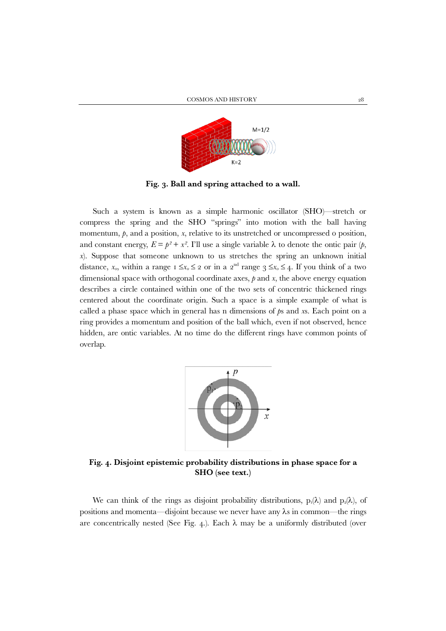

**Fig. 3. Ball and spring attached to a wall.**

Such a system is known as a simple harmonic oscillator (SHO)—stretch or compress the spring and the SHO "springs" into motion with the ball having momentum,  $\dot{p}$ , and a position,  $x$ , relative to its unstretched or uncompressed o position, and constant energy,  $E = p^2 + x^2$ . I'll use a single variable  $\lambda$  to denote the ontic pair  $(p,$ *x*). Suppose that someone unknown to us stretches the spring an unknown initial distance,  $x_0$ , within a range  $1 \le x_0 \le 2$  or in a 2<sup>nd</sup> range  $3 \le x_0 \le 4$ . If you think of a two dimensional space with orthogonal coordinate axes, *p* and *x*, the above energy equation describes a circle contained within one of the two sets of concentric thickened rings centered about the coordinate origin. Such a space is a simple example of what is called a phase space which in general has n dimensions of *p*s and *x*s. Each point on a ring provides a momentum and position of the ball which, even if not observed, hence hidden, are ontic variables. At no time do the different rings have common points of overlap.



**Fig. 4. Disjoint epistemic probability distributions in phase space for a SHO (see text.)**

We can think of the rings as disjoint probability distributions,  $p_i(\lambda)$  and  $p_2(\lambda)$ , of positions and momenta—disjoint because we never have any λs in common—the rings are concentrically nested (See Fig. 4.). Each  $\lambda$  may be a uniformly distributed (over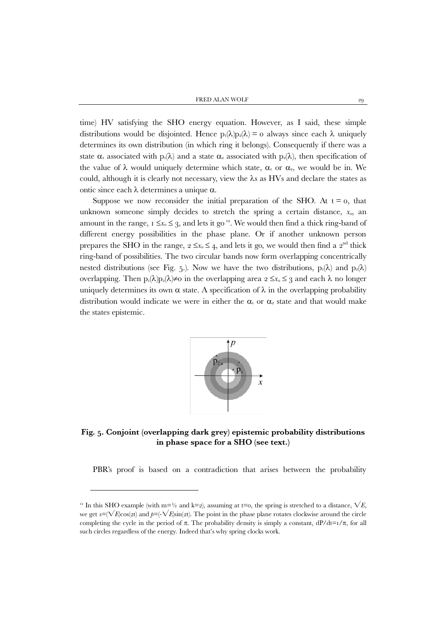FRED ALAN WOLF 29

time) HV satisfying the SHO energy equation. However, as I said, these simple distributions would be disjointed. Hence  $p_i(\lambda)p_2(\lambda) = 0$  always since each  $\lambda$  uniquely determines its own distribution (in which ring it belongs). Consequently if there was a state  $\alpha_1$  associated with  $p_1(\lambda)$  and a state  $\alpha_2$  associated with  $p_2(\lambda)$ , then specification of the value of  $\lambda$  would uniquely determine which state,  $\alpha_1$  or  $\alpha_2$ , we would be in. We could, although it is clearly not necessary, view the λs as HVs and declare the states as ontic since each λ determines a unique α.

Suppose we now reconsider the initial preparation of the SHO. At  $t = 0$ , that unknown someone simply decides to stretch the spring a certain distance,  $x<sub>0</sub>$ , an amount in the range,  $1 \le x_0 \le 3$ , and lets it go<sup>[12](#page-9-0)</sup>. We would then find a thick ring-band of different energy possibilities in the phase plane. Or if another unknown person prepares the SHO in the range,  $2 \le x_0 \le 4$ , and lets it go, we would then find a  $2^{\text{nd}}$  thick ring-band of possibilities. The two circular bands now form overlapping concentrically nested distributions (see Fig. 5.). Now we have the two distributions,  $p_1(\lambda)$  and  $p_2(\lambda)$ overlapping. Then  $p_1(\lambda)p_2(\lambda) \neq 0$  in the overlapping area  $2 \leq x_0 \leq 3$  and each  $\lambda$  no longer uniquely determines its own  $\alpha$  state. A specification of  $\lambda$  in the overlapping probability distribution would indicate we were in either the  $\alpha_1$  or  $\alpha_2$  state and that would make the states epistemic.



**Fig. 5. Conjoint (overlapping dark grey) epistemic probability distributions in phase space for a SHO (see text.)**

PBR's proof is based on a contradiction that arises between the probability

**.** 

<span id="page-9-0"></span><sup>&</sup>lt;sup>12</sup> In this SHO example (with m=½ and k=2), assuming at t=0, the spring is stretched to a distance,  $\sqrt{E}$ . we get  $x=(\sqrt{E}\cos(2t))$  and  $p=(-\sqrt{E}\sin(2t))$ . The point in the phase plane rotates clockwise around the circle completing the cycle in the period of  $\pi$ . The probability density is simply a constant,  $dP/dt=t/\pi$ , for all such circles regardless of the energy. Indeed that's why spring clocks work.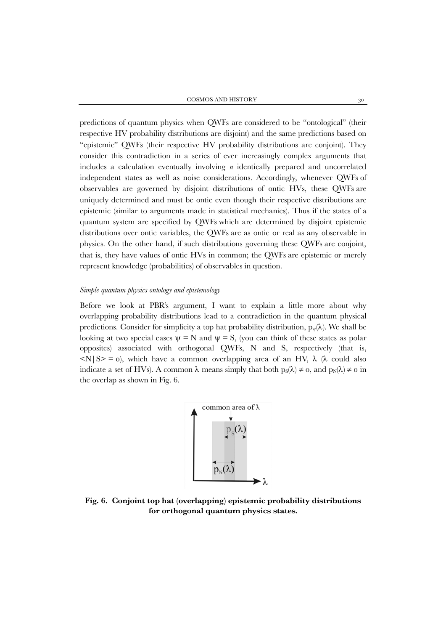predictions of quantum physics when QWFs are considered to be "ontological" (their respective HV probability distributions are disjoint) and the same predictions based on "epistemic" QWFs (their respective HV probability distributions are conjoint). They consider this contradiction in a series of ever increasingly complex arguments that includes a calculation eventually involving *n* identically prepared and uncorrelated independent states as well as noise considerations. Accordingly, whenever QWFs of observables are governed by disjoint distributions of ontic HVs, these QWFs are uniquely determined and must be ontic even though their respective distributions are epistemic (similar to arguments made in statistical mechanics). Thus if the states of a quantum system are specified by QWFs which are determined by disjoint epistemic distributions over ontic variables, the QWFs are as ontic or real as any observable in physics. On the other hand, if such distributions governing these QWFs are conjoint, that is, they have values of ontic HVs in common; the QWFs are epistemic or merely represent knowledge (probabilities) of observables in question.

## *Simple quantum physics ontology and epistemology*

Before we look at PBR's argument, I want to explain a little more about why overlapping probability distributions lead to a contradiction in the quantum physical predictions. Consider for simplicity a top hat probability distribution,  $p_w(\lambda)$ . We shall be looking at two special cases  $\psi = N$  and  $\psi = S$ , (you can think of these states as polar opposites) associated with orthogonal QWFs, N and S, respectively (that is,  $\langle N|S\rangle = 0$ , which have a common overlapping area of an HV,  $\lambda$  ( $\lambda$  could also indicate a set of HVs). A common  $\lambda$  means simply that both  $ps(\lambda) \neq o$ , and  $ps(\lambda) \neq o$  in the overlap as shown in Fig. 6.



**Fig. 6. Conjoint top hat (overlapping) epistemic probability distributions for orthogonal quantum physics states.**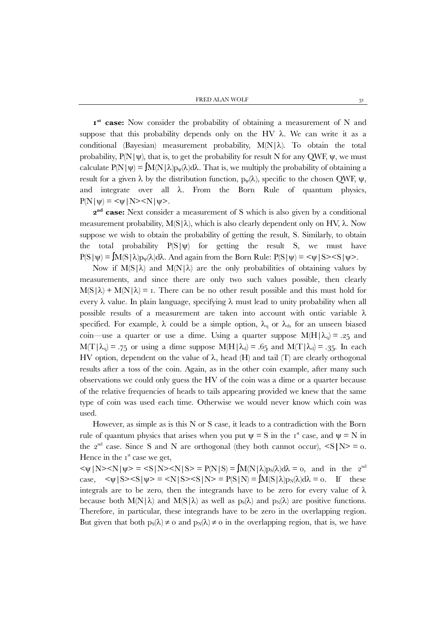FRED ALAN WOLF  $3^1$ 

**1st case:** Now consider the probability of obtaining a measurement of N and suppose that this probability depends only on the HV  $\lambda$ . We can write it as a conditional (Bayesian) measurement probability, M(N|λ). To obtain the total probability,  $P(N|\psi)$ , that is, to get the probability for result N for any QWF,  $\psi$ , we must calculate  $P(N|\psi) = M(N|\lambda)p_{\psi}(\lambda)d\lambda$ . That is, we multiply the probability of obtaining a result for a given  $\lambda$  by the distribution function,  $p_\psi(\lambda)$ , specific to the chosen QWF,  $\psi$ , and integrate over all  $\lambda$ . From the Born Rule of quantum physics,  $P(N|y) = \langle \psi | N \rangle \langle N | \psi \rangle$ .

**2nd case:** Next consider a measurement of S which is also given by a conditional measurement probability,  $M(S|\lambda)$ , which is also clearly dependent only on HV,  $\lambda$ . Now suppose we wish to obtain the probability of getting the result, S. Similarly, to obtain the total probability  $P(S|\psi)$  for getting the result S, we must have  $P(S|\psi) = \int M(S|\lambda)p_{\psi}(\lambda)d\lambda$ . And again from the Born Rule:  $P(S|\psi) = \int |S| \leq |S| \leq$ .

Now if  $M(S|\lambda)$  and  $M(N|\lambda)$  are the only probabilities of obtaining values by measurements, and since there are only two such values possible, then clearly  $M(S|\lambda) + M(N|\lambda) = I$ . There can be no other result possible and this must hold for every  $\lambda$  value. In plain language, specifying  $\lambda$  must lead to unity probability when all possible results of a measurement are taken into account with ontic variable  $\lambda$ specified. For example,  $\lambda$  could be a simple option,  $\lambda_{q}$  or  $\lambda_{d}$ , for an unseen biased coin—use a quarter or use a dime. Using a quarter suppose  $M(H|\lambda_q) = .25$  and  $M(T|\lambda_q) = .75$  or using a dime suppose  $M(H|\lambda_d) = .65$  and  $M(T|\lambda_d) = .35$ . In each HV option, dependent on the value of  $\lambda$ , head (H) and tail (T) are clearly orthogonal results after a toss of the coin. Again, as in the other coin example, after many such observations we could only guess the HV of the coin was a dime or a quarter because of the relative frequencies of heads to tails appearing provided we knew that the same type of coin was used each time. Otherwise we would never know which coin was used.

However, as simple as is this N or S case, it leads to a contradiction with the Born rule of quantum physics that arises when you put  $\psi = S$  in the 1<sup>st</sup> case, and  $\psi = N$  in the  $2^{nd}$  case. Since S and N are orthogonal (they both cannot occur),  $\leq S|N \geq 0$ . Hence in the  $I<sup>st</sup>$  case we get,

 $\langle \psi | N \rangle \langle N | \psi \rangle = \langle S | N \rangle \langle N | S \rangle = P(N | S) = \int M(N | \lambda) p_S(\lambda) d\lambda = 0$ , and in the 2<sup>nd</sup> case,  $\langle \psi | S \rangle \langle S | \psi \rangle = \langle N | S \rangle \langle S | N \rangle = P(S | N) = \int M(S | \lambda) p_N(\lambda) d\lambda = 0$ . If these integrals are to be zero, then the integrands have to be zero for every value of  $\lambda$ because both  $M(N|\lambda)$  and  $M(S|\lambda)$  as well as  $p_S(\lambda)$  and  $p_N(\lambda)$  are positive functions. Therefore, in particular, these integrands have to be zero in the overlapping region. But given that both  $p_S(\lambda) \neq o$  and  $p_N(\lambda) \neq o$  in the overlapping region, that is, we have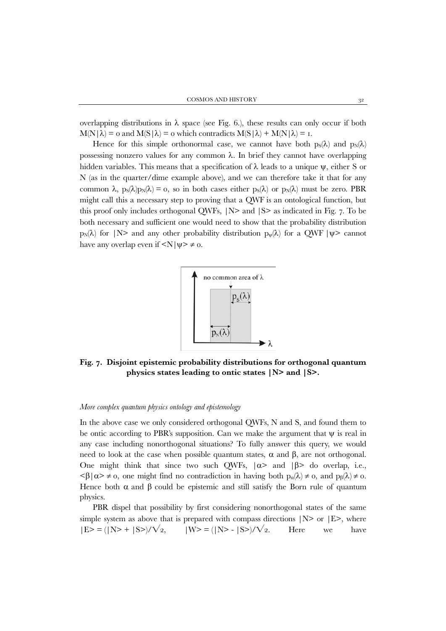overlapping distributions in  $\lambda$  space (see Fig. 6.), these results can only occur if both  $M(N|\lambda) = o$  and  $M(S|\lambda) = o$  which contradicts  $M(S|\lambda) + M(N|\lambda) = I$ .

Hence for this simple orthonormal case, we cannot have both  $p_S(\lambda)$  and  $p_N(\lambda)$ possessing nonzero values for any common λ. In brief they cannot have overlapping hidden variables. This means that a specification of  $\lambda$  leads to a unique  $\psi$ , either S or N (as in the quarter/dime example above), and we can therefore take it that for any common  $\lambda$ ,  $p_S(\lambda)p_N(\lambda) = 0$ , so in both cases either  $p_S(\lambda)$  or  $p_N(\lambda)$  must be zero. PBR might call this a necessary step to proving that a QWF is an ontological function, but this proof only includes orthogonal QWFs, |N> and |S> as indicated in Fig. 7. To be both necessary and sufficient one would need to show that the probability distribution  $p_N(\lambda)$  for  $|N\rangle$  and any other probability distribution  $p_\psi(\lambda)$  for a QWF  $|\psi\rangle$  cannot have any overlap even if  $\langle N|\psi\rangle \neq 0$ .



**Fig. 7. Disjoint epistemic probability distributions for orthogonal quantum physics states leading to ontic states |N> and |S>.**

#### *More complex quantum physics ontology and epistemology*

In the above case we only considered orthogonal QWFs, N and S, and found them to be ontic according to PBR's supposition. Can we make the argument that  $\psi$  is real in any case including nonorthogonal situations? To fully answer this query, we would need to look at the case when possible quantum states,  $\alpha$  and  $\beta$ , are not orthogonal. One might think that since two such QWFs,  $|\alpha\rangle$  and  $|\beta\rangle$  do overlap, i.e.,  $\langle \beta | \alpha \rangle \neq 0$ , one might find no contradiction in having both  $p_{\alpha}(\lambda) \neq 0$ , and  $p_{\beta}(\lambda) \neq 0$ . Hence both  $\alpha$  and  $\beta$  could be epistemic and still satisfy the Born rule of quantum physics.

PBR dispel that possibility by first considering nonorthogonal states of the same simple system as above that is prepared with compass directions  $|N\rangle$  or  $|E\rangle$ , where  $|E\rangle = (|N\rangle + |S\rangle)/\sqrt{2}$ ,  $|W\rangle = (|N\rangle - |S\rangle)/\sqrt{2}$ . Here we have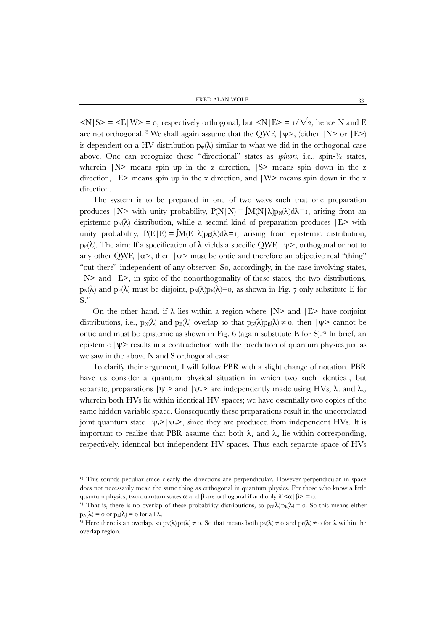$\langle N|S \rangle = \langle E|W \rangle = 0$ , respectively orthogonal, but  $\langle N|E \rangle = 1/\sqrt{2}$ , hence N and E are not orthogonal.<sup>[13](#page-13-0)</sup> We shall again assume that the QWF,  $|\psi\rangle$ , (either  $|N\rangle$  or  $|E\rangle$ ) is dependent on a HV distribution  $p_w(\lambda)$  similar to what we did in the orthogonal case above. One can recognize these "directional" states as *spinors*, i.e., spin-½ states, wherein  $|N\rangle$  means spin up in the z direction,  $|S\rangle$  means spin down in the z direction,  $|E\rangle$  means spin up in the x direction, and  $|W\rangle$  means spin down in the x direction.

The system is to be prepared in one of two ways such that one preparation produces  $|N\rangle$  with unity probability,  $P(N|N) = \int M(N|\lambda)p_N(\lambda)d\lambda = I$ , arising from an epistemic  $p_N(\lambda)$  distribution, while a second kind of preparation produces  $|E\rangle$  with unity probability,  $P(E|E) = M(E|\lambda)p_E(\lambda)d\lambda = I$ , arising from epistemic distribution, p<sub>E</sub>(λ). The aim: If a specification of λ yields a specific QWF,  $|\psi\rangle$ , orthogonal or not to any other OWF,  $|\alpha\rangle$ , then  $|\psi\rangle$  must be ontic and therefore an objective real "thing" "out there" independent of any observer. So, accordingly, in the case involving states,  $|N\rangle$  and  $|E\rangle$ , in spite of the nonorthogonality of these states, the two distributions,  $p_N(\lambda)$  and  $p_E(\lambda)$  must be disjoint,  $p_N(\lambda)p_E(\lambda)=0$ , as shown in Fig. 7 only substitute E for S.[14](#page-13-1)

On the other hand, if  $\lambda$  lies within a region where  $|N\rangle$  and  $|E\rangle$  have conjoint distributions, i.e.,  $p_N(\lambda)$  and  $p_E(\lambda)$  overlap so that  $p_N(\lambda)p_E(\lambda) \neq 0$ , then  $|\psi\rangle$  cannot be ontic and must be epistemic as shown in Fig.  $6$  (again substitute E for S).<sup>[15](#page-13-2)</sup> In brief, an epistemic  $|\psi\rangle$  results in a contradiction with the prediction of quantum physics just as we saw in the above N and S orthogonal case.

To clarify their argument, I will follow PBR with a slight change of notation. PBR have us consider a quantum physical situation in which two such identical, but separate, preparations  $|\psi_1\rangle$  and  $|\psi_2\rangle$  are independently made using HVs,  $\lambda_1$  and  $\lambda_2$ , wherein both HVs lie within identical HV spaces; we have essentially two copies of the same hidden variable space. Consequently these preparations result in the uncorrelated joint quantum state  $|\psi_1\rangle |\psi_2\rangle$ , since they are produced from independent HVs. It is important to realize that PBR assume that both  $\lambda_1$  and  $\lambda_2$  lie within corresponding, respectively, identical but independent HV spaces. Thus each separate space of HVs

 $\overline{\phantom{a}}$ 

<span id="page-13-0"></span><sup>&</sup>lt;sup>13</sup> This sounds peculiar since clearly the directions are perpendicular. However perpendicular in space does not necessarily mean the same thing as orthogonal in quantum physics. For those who know a little quantum physics; two quantum states  $\alpha$  and  $\beta$  are orthogonal if and only if  $\alpha$  |  $\beta$  > = 0.

<span id="page-13-1"></span><sup>&</sup>lt;sup>14</sup> That is, there is no overlap of these probability distributions, so  $p_N(\lambda) p_E(\lambda) = 0$ . So this means either  $p_N(\lambda) = o$  or  $p_E(\lambda) = o$  for all  $\lambda$ .<br><sup>15</sup> Here there is an overlap, so  $p_N(\lambda)p_E(\lambda) \neq o$ . So that means both  $p_N(\lambda) \neq o$  and  $p_E(\lambda) \neq o$  for  $\lambda$  within the

<span id="page-13-2"></span>overlap region.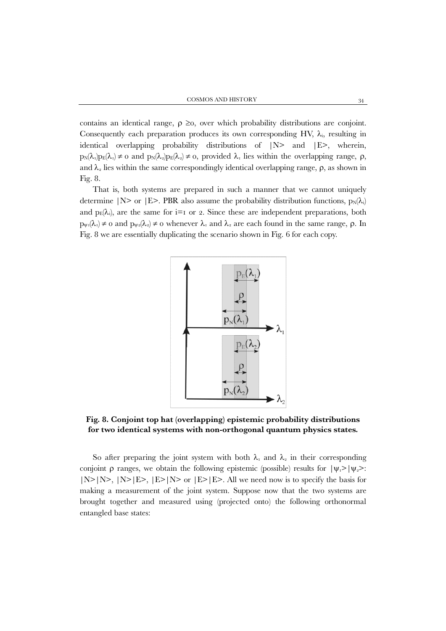contains an identical range,  $\rho \geq 0$ , over which probability distributions are conjoint. Consequently each preparation produces its own corresponding HV,  $\lambda_i$ , resulting in identical overlapping probability distributions of  $|N\rangle$  and  $|E\rangle$ , wherein,  $p_N(\lambda_1)p_E(\lambda_1) \neq 0$  and  $p_N(\lambda_2)p_E(\lambda_2) \neq 0$ , provided  $\lambda_1$  lies within the overlapping range,  $\rho$ , and  $\lambda_2$  lies within the same correspondingly identical overlapping range,  $\rho$ , as shown in Fig. 8.

That is, both systems are prepared in such a manner that we cannot uniquely determine |N> or |E>. PBR also assume the probability distribution functions,  $p_N(\lambda_i)$ and  $p_E(\lambda_i)$ , are the same for i=1 or 2. Since these are independent preparations, both  $p_{\psi_1}(\lambda_1) \neq 0$  and  $p_{\psi_2}(\lambda_2) \neq 0$  whenever  $\lambda_1$  and  $\lambda_2$  are each found in the same range,  $\rho$ . In Fig. 8 we are essentially duplicating the scenario shown in Fig. 6 for each copy.



**Fig. 8. Conjoint top hat (overlapping) epistemic probability distributions for two identical systems with non-orthogonal quantum physics states.**

So after preparing the joint system with both  $\lambda_1$  and  $\lambda_2$  in their corresponding conjoint  $\rho$  ranges, we obtain the following epistemic (possible) results for  $|\psi_1\rangle |\psi_2\rangle$ :  $|N\rangle|N\rangle, |N\rangle|E\rangle, |E\rangle|N\rangle$  or  $|E\rangle|E\rangle$ . All we need now is to specify the basis for making a measurement of the joint system. Suppose now that the two systems are brought together and measured using (projected onto) the following orthonormal entangled base states: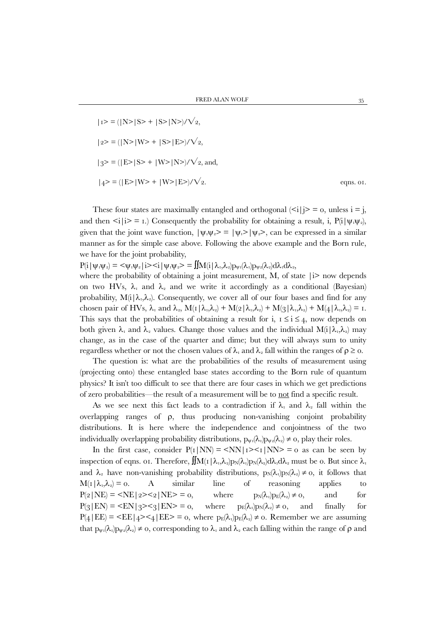$$
|1>=(|N>|S>+|S>|N>)/\sqrt{2},
$$
  
\n
$$
|2>=(|N>|W>+|S>|E>)/\sqrt{2},
$$
  
\n
$$
|3>=(|E>|S>+|W>|N>)/\sqrt{2},
$$
 and,  
\n
$$
|4>=(|E>|W>+|W>|E>)/\sqrt{2}.
$$
 eqns. or.

These four states are maximally entangled and orthogonal  $\langle \leq i | j \rangle = 0$ , unless  $i = j$ , and then  $\leq i|i\rangle = i$ .) Consequently the probability for obtaining a result, i, P(i| $\psi_1\psi_2$ ), given that the joint wave function,  $|\psi_1 \psi_2 \rangle = |\psi_1 \rangle |\psi_2 \rangle$ , can be expressed in a similar manner as for the simple case above. Following the above example and the Born rule, we have for the joint probability,

 $P(i|\psi_1\psi_2) = \langle \psi_1\psi_2 | i \rangle \langle i|\psi_1\psi_2 \rangle = \iint M(i|\lambda_1,\lambda_2)p_{\psi_1}(\lambda_1)p_{\psi_2}(\lambda_2)d\lambda_1 d\lambda_2$ 

where the probability of obtaining a joint measurement, M, of state  $|i\rangle$  now depends on two HVs,  $\lambda_1$  and  $\lambda_2$  and we write it accordingly as a conditional (Bayesian) probability,  $M(i|\lambda_1,\lambda_2)$ . Consequently, we cover all of our four bases and find for any chosen pair of HVs,  $\lambda_1$  and  $\lambda_2$ ,  $M(I|\lambda_1,\lambda_2) + M(2|\lambda_1,\lambda_2) + M(3|\lambda_1,\lambda_2) + M(4|\lambda_1,\lambda_2) = I$ . This says that the probabilities of obtaining a result for i,  $1 \le i \le 4$ , now depends on both given  $\lambda_1$  and  $\lambda_2$  values. Change those values and the individual  $M(i|\lambda_1,\lambda_2)$  may change, as in the case of the quarter and dime; but they will always sum to unity regardless whether or not the chosen values of  $\lambda_1$  and  $\lambda_2$  fall within the ranges of  $\rho \geq 0$ .

The question is: what are the probabilities of the results of measurement using (projecting onto) these entangled base states according to the Born rule of quantum physics? It isn't too difficult to see that there are four cases in which we get predictions of zero probabilities—the result of a measurement will be to not find a specific result.

As we see next this fact leads to a contradiction if  $\lambda_1$  and  $\lambda_2$  fall within the overlapping ranges of  $\rho$ , thus producing non-vanishing conjoint probability distributions. It is here where the independence and conjointness of the two individually overlapping probability distributions,  $p_{\psi_1}(\lambda_1)p_{\psi_2}(\lambda_2) \neq 0$ , play their roles.

In the first case, consider  $P(1|NN) = \langle NN | 1 \rangle \langle 1 | NN \rangle = 0$  as can be seen by inspection of eqns. 01. Therefore,  $\iint M(r|\lambda_1,\lambda_2)p_N(\lambda_1)p_N(\lambda_2)d\lambda_1d\lambda_2$  must be 0. But since  $\lambda_1$ and  $\lambda_2$  have non-vanishing probability distributions,  $p_N(\lambda_1)p_N(\lambda_2) \neq 0$ , it follows that  $M(1|\lambda_1,\lambda_2)=0$ . A similar line of reasoning applies to  $P(2|NE) = \langle NE \rangle = \langle 2 \rangle \langle 2|NE \rangle = 0$ , where  $p_N(\lambda_i)p_E(\lambda_i) \neq 0$ , and for  $P(3|EN) = \langle EN | 3 \rangle \langle 3| EN \rangle = 0$ , where  $p_E(\lambda_1)p_N(\lambda_2) \neq 0$ , and finally for  $P(4|EE) = \langle EE | 4 \rangle \langle 4| EE \rangle = 0$ , where  $p_E(\lambda_i)p_E(\lambda_i) \neq 0$ . Remember we are assuming that  $p_{\psi_1}(\lambda_1)p_{\psi_2}(\lambda_2) \neq 0$ , corresponding to  $\lambda_1$  and  $\lambda_2$  each falling within the range of  $\rho$  and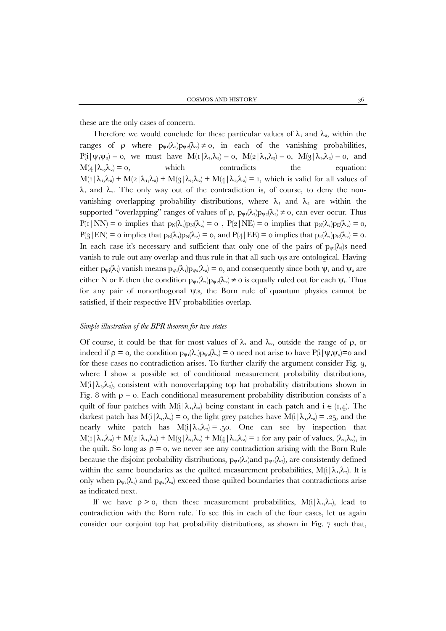these are the only cases of concern.

Therefore we would conclude for these particular values of  $\lambda_1$  and  $\lambda_2$ , within the ranges of  $\rho$  where  $p_{\psi_1}(\lambda_1)p_{\psi_2}(\lambda_2) \neq 0$ , in each of the vanishing probabilities,  $P(i|\psi_1\psi_2) = 0$ , we must have  $M(1|\lambda_1,\lambda_2) = 0$ ,  $M(2|\lambda_1,\lambda_2) = 0$ ,  $M(3|\lambda_1,\lambda_2) = 0$ , and  $M(4|\lambda_1,\lambda_2|=0,$  which contradicts the equation:  $M(r|\lambda_1,\lambda_2) + M(r|\lambda_1,\lambda_2) + M(r|\lambda_1,\lambda_2) + M(r|\lambda_1,\lambda_2) = r$ , which is valid for all values of  $\lambda_1$  and  $\lambda_2$ . The only way out of the contradiction is, of course, to deny the nonvanishing overlapping probability distributions, where  $\lambda_1$  and  $\lambda_2$  are within the supported "overlapping" ranges of values of  $\rho$ ,  $p_{\psi}(\lambda_1)p_{\psi}(\lambda_2) \neq 0$ , can ever occur. Thus  $P(I|NN) = o$  implies that  $p_N(\lambda_1)p_N(\lambda_2) = o$ ,  $P(2|NE) = o$  implies that  $p_N(\lambda_1)p_E(\lambda_2) = o$ ,  $P(3|EN) = o$  implies that  $p_E(\lambda_1)p_N(\lambda_2) = o$ , and  $P(4|EE) = o$  implies that  $p_E(\lambda_1)p_E(\lambda_2) = o$ . In each case it's necessary and sufficient that only one of the pairs of  $p_{\psi i}(\lambda_i)$  need vanish to rule out any overlap and thus rule in that all such  $\psi_i$ s are ontological. Having either  $p_{\psi i}(\lambda_i)$  vanish means  $p_{\psi i}(\lambda_i)p_{\psi 2}(\lambda_2)=0$ , and consequently since both  $\psi_1$  and  $\psi_2$  are either N or E then the condition  $p_{\psi_1}(\lambda_1)p_{\psi_2}(\lambda_2) \neq 0$  is equally ruled out for each  $\psi_i$ . Thus for any pair of nonorthogonal  $\psi$ <sub>i</sub>s, the Born rule of quantum physics cannot be satisfied, if their respective HV probabilities overlap.

#### *Simple illustration of the BPR theorem for two states*

Of course, it could be that for most values of  $\lambda_1$  and  $\lambda_2$ , outside the range of  $\rho$ , or indeed if  $\rho = 0$ , the condition  $p_{\psi_1}(\lambda_1)p_{\psi_2}(\lambda_2) = 0$  need not arise to have  $P(i|\psi_1\psi_2)=0$  and for these cases no contradiction arises. To further clarify the argument consider Fig. 9, where I show a possible set of conditional measurement probability distributions,  $M(i|\lambda_1,\lambda_2)$ , consistent with nonoverlapping top hat probability distributions shown in Fig. 8 with  $\rho = 0$ . Each conditional measurement probability distribution consists of a quilt of four patches with  $M(i|\lambda_1,\lambda_2)$  being constant in each patch and  $i \in (1,4)$ . The darkest patch has  $M(i|\lambda_1,\lambda_2) = o$ , the light grey patches have  $M(i|\lambda_1,\lambda_2) = .25$ , and the nearly white patch has  $M(i|\lambda_1,\lambda_2)=0.50$ . One can see by inspection that  $M(r|\lambda_1,\lambda_2) + M(2|\lambda_1,\lambda_2) + M(3|\lambda_1,\lambda_2) + M(4|\lambda_1,\lambda_2) = r$  for any pair of values,  $(\lambda_1,\lambda_2)$ , in the quilt. So long as  $\rho = 0$ , we never see any contradiction arising with the Born Rule because the disjoint probability distributions,  $p_{\psi}(\lambda_i)$  and  $p_{\psi}(\lambda_2)$ , are consistently defined within the same boundaries as the quilted measurement probabilities,  $M(i|\lambda_1,\lambda_2)$ . It is only when  $p_{\psi_1}(\lambda_1)$  and  $p_{\psi_2}(\lambda_2)$  exceed those quilted boundaries that contradictions arise as indicated next.

If we have  $\rho > 0$ , then these measurement probabilities,  $M(i|\lambda_1,\lambda_2)$ , lead to contradiction with the Born rule. To see this in each of the four cases, let us again consider our conjoint top hat probability distributions, as shown in Fig. 7 such that,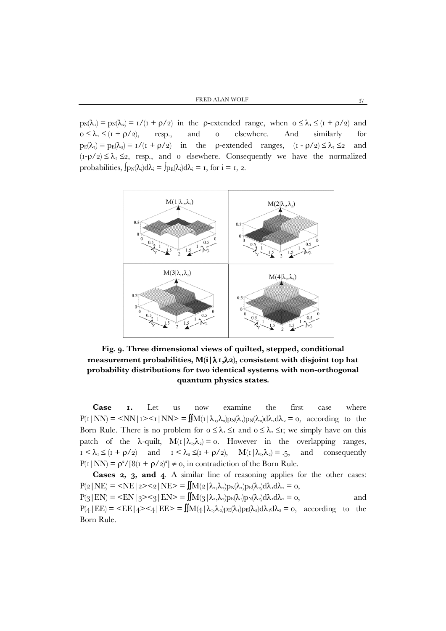$p_N(\lambda_1) = p_N(\lambda_2) = 1/(1 + \rho/2)$  in the p-extended range, when  $0 \le \lambda_1 \le (1 + \rho/2)$  and  $0 \leq \lambda_2 \leq (1 + \rho/2)$ , resp., and 0 elsewhere. And similarly for  $p_E(\lambda_1) = p_E(\lambda_2) = 1/(1 + \rho/2)$  in the p-extended ranges,  $(1 - \rho/2) \le \lambda_1 \le 2$  and  $(I - \rho/2) \leq \lambda_2 \leq 2$ , resp., and o elsewhere. Consequently we have the normalized probabilities,  $\int p_N(\lambda_i)d\lambda_i = \int p_E(\lambda_i)d\lambda_i = I$ , for  $i = I, 2$ .



**Fig. 9. Three dimensional views of quilted, stepped, conditional measurement probabilities, M(i|**λ**1,**λ**2), consistent with disjoint top hat probability distributions for two identical systems with non-orthogonal quantum physics states.**

**Case 1.** Let us now examine the first case where  $P(I|NN) = \langle NN | I \rangle \langle I| NN \rangle = \iint M(I|\lambda_1,\lambda_2)p_N(\lambda_1)p_N(\lambda_2)d\lambda_1 d\lambda_2 = 0$ , according to the Born Rule. There is no problem for  $0 \leq \lambda_1 \leq I$  and  $0 \leq \lambda_2 \leq I$ ; we simply have on this patch of the  $\lambda$ -quilt,  $M(I|\lambda_1,\lambda_2) = 0$ . However in the overlapping ranges,  $1 < \lambda_1 \leq (1 + \rho/2)$  and  $1 < \lambda_2 \leq (1 + \rho/2)$ ,  $M(1 | \lambda_1, \lambda_2) = .5$ , and consequently  $P(I|NN) = \rho^2/[8(I + \rho/2)^2] \neq 0$ , in contradiction of the Born Rule.

**Cases 2, 3, and 4**. A similar line of reasoning applies for the other cases:  $P(2|NE) = \langle NE | 2 \rangle \langle 2 | NE \rangle = \iint M(2|\lambda_1,\lambda_2)p_N(\lambda_1)p_E(\lambda_2)d\lambda_1 d\lambda_2 = 0,$  $P(\text{3}|EN) = \text{2} \leq 3|EN \rangle = \iint M(\text{3}|\lambda_1,\lambda_2) p_E(\lambda_1) p_N(\lambda_2) d\lambda_1 d\lambda_2 = 0,$  and  $P(4|EE) = \langle EE | 4 \rangle \langle 4|EE \rangle = \iint M(4|\lambda_1,\lambda_2)p_E(\lambda_1)p_E(\lambda_2)d\lambda_1d\lambda_2 = 0$ , according to the Born Rule.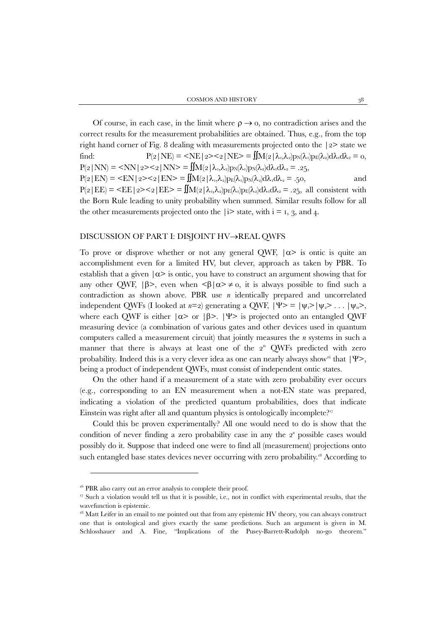Of course, in each case, in the limit where  $\rho \rightarrow o$ , no contradiction arises and the correct results for the measurement probabilities are obtained. Thus, e.g., from the top right hand corner of Fig. 8 dealing with measurements projected onto the |2> state we find:  $P(z|NE) = \langle NE | 2 \rangle \langle 2| NE \rangle = \iint M(z|\lambda_1,\lambda_2)p_N(\lambda_1)p_E(\lambda_2)d\lambda_1 d\lambda_2 = 0,$  $P(2|NN) = \langle NN | 2 \rangle \langle 2 | NN \rangle = \iint M(2|\lambda_1,\lambda_2)p_N(\lambda_1)p_N(\lambda_2)d\lambda_1 d\lambda_2 = .25,$  $P(2|EN) = \langle EN | 2 \rangle \langle 2| EN \rangle = \iint M(2|\lambda_1,\lambda_2) p_E(\lambda_1) p_N(\lambda_2) d\lambda_1 d\lambda_2 = .50,$  and  $P(2|EE) = \langle EE | 2 \rangle \langle 2|EE \rangle = \iint M(2|\lambda_1,\lambda_2)p_E(\lambda_1)p_E(\lambda_2)d\lambda_1 d\lambda_2 = .25$ , all consistent with the Born Rule leading to unity probability when summed. Similar results follow for all the other measurements projected onto the  $|i\rangle$  state, with  $i = 1, 3,$  and 4.

## DISCUSSION OF PART I: DISJOINT HV→REAL QWFS

To prove or disprove whether or not any general OWF,  $|\alpha\rangle$  is ontic is quite an accomplishment even for a limited HV, but clever, approach as taken by PBR. To establish that a given  $|\alpha\rangle$  is ontic, you have to construct an argument showing that for any other QWF,  $|\beta\rangle$ , even when  $\langle \beta | \alpha \rangle \neq 0$ , it is always possible to find such a contradiction as shown above. PBR use *n* identically prepared and uncorrelated independent QWFs (I looked at *n*=2) generating a QWF,  $|\Psi\rangle = |\psi_1\rangle |\psi_2\rangle \dots |\psi_n\rangle$ , where each OWF is either  $|\alpha\rangle$  or  $|\beta\rangle$ .  $|\psi\rangle$  is projected onto an entangled OWF measuring device (a combination of various gates and other devices used in quantum computers called a measurement circuit) that jointly measures the *n* systems in such a manner that there is always at least one of the  $2<sup>n</sup>$  QWFs predicted with zero probability. Indeed this is a very clever idea as one can nearly always show<sup>[16](#page-18-0)</sup> that  $|\Psi\rangle$ , being a product of independent QWFs, must consist of independent ontic states.

On the other hand if a measurement of a state with zero probability ever occurs (e.g., corresponding to an EN measurement when a not-EN state was prepared, indicating a violation of the predicted quantum probabilities, does that indicate Einstein was right after all and quantum physics is ontologically incomplete?<sup>17</sup>

Could this be proven experimentally? All one would need to do is show that the condition of never finding a zero probability case in any the 2*<sup>n</sup>* possible cases would possibly do it. Suppose that indeed one were to find all (measurement) projections onto such entangled base states devices never occurring with zero probability.<sup>[18](#page-18-2)</sup> According to

<span id="page-18-0"></span><sup>&</sup>lt;sup>16</sup> PBR also carry out an error analysis to complete their proof.

<span id="page-18-1"></span><sup>&</sup>lt;sup>17</sup> Such a violation would tell us that it is possible, i.e., not in conflict with experimental results, that the wavefunction is epistemic.

<span id="page-18-2"></span> $18$  Matt Leifer in an email to me pointed out that from any epistemic HV theory, you can always construct one that is ontological and gives exactly the same predictions. Such an argument is given in M. Schlosshauer and A. Fine, "Implications of the Pusey-Barrett-Rudolph no-go theorem."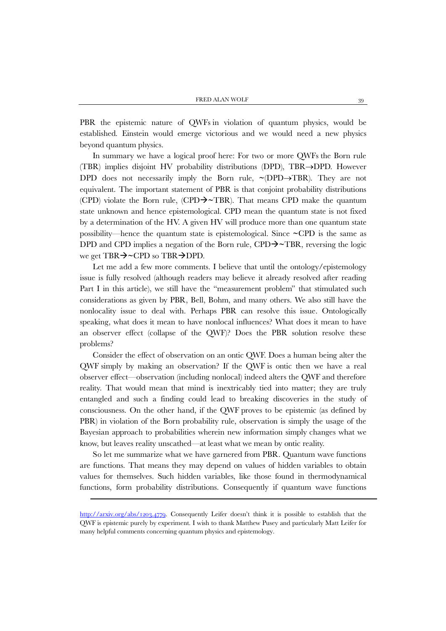PBR the epistemic nature of QWFs in violation of quantum physics, would be established. Einstein would emerge victorious and we would need a new physics beyond quantum physics.

In summary we have a logical proof here: For two or more QWFs the Born rule (TBR) implies disjoint HV probability distributions (DPD), TBR→DPD. However DPD does not necessarily imply the Born rule, **~**(DPD→TBR). They are not equivalent. The important statement of PBR is that conjoint probability distributions (CPD) violate the Born rule, (CPD**~**TBR). That means CPD make the quantum state unknown and hence epistemological. CPD mean the quantum state is not fixed by a determination of the HV. A given HV will produce more than one quantum state possibility—hence the quantum state is epistemological. Since **~**CPD is the same as DPD and CPD implies a negation of the Born rule, CPD $\rightarrow$  TBR, reversing the logic we get TBR $\rightarrow$  CPD so TBR $\rightarrow$ DPD.

Let me add a few more comments. I believe that until the ontology/epistemology issue is fully resolved (although readers may believe it already resolved after reading Part I in this article), we still have the "measurement problem" that stimulated such considerations as given by PBR, Bell, Bohm, and many others. We also still have the nonlocality issue to deal with. Perhaps PBR can resolve this issue. Ontologically speaking, what does it mean to have nonlocal influences? What does it mean to have an observer effect (collapse of the QWF)? Does the PBR solution resolve these problems?

Consider the effect of observation on an ontic QWF. Does a human being alter the QWF simply by making an observation? If the QWF is ontic then we have a real observer effect—observation (including nonlocal) indeed alters the QWF and therefore reality. That would mean that mind is inextricably tied into matter; they are truly entangled and such a finding could lead to breaking discoveries in the study of consciousness. On the other hand, if the QWF proves to be epistemic (as defined by PBR) in violation of the Born probability rule, observation is simply the usage of the Bayesian approach to probabilities wherein new information simply changes what we know, but leaves reality unscathed—at least what we mean by ontic reality.

So let me summarize what we have garnered from PBR. Quantum wave functions are functions. That means they may depend on values of hidden variables to obtain values for themselves. Such hidden variables, like those found in thermodynamical functions, form probability distributions. Consequently if quantum wave functions

 $\overline{\phantom{a}}$ 

[http://arxiv.org/abs/1203.4779.](http://arxiv.org/abs/1203.4779) Consequently Leifer doesn't think it is possible to establish that the QWF is epistemic purely by experiment. I wish to thank Matthew Pusey and particularly Matt Leifer for many helpful comments concerning quantum physics and epistemology.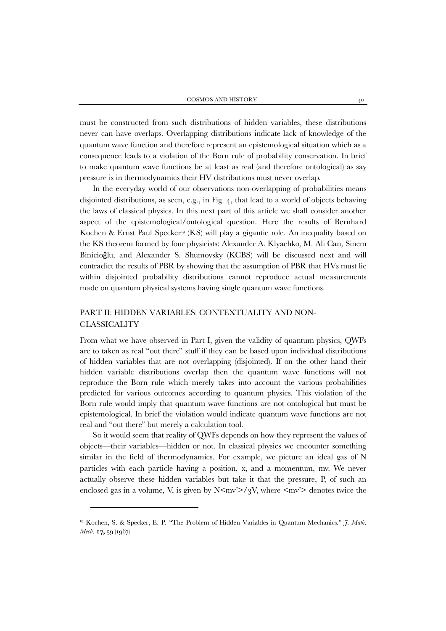must be constructed from such distributions of hidden variables, these distributions never can have overlaps. Overlapping distributions indicate lack of knowledge of the quantum wave function and therefore represent an epistemological situation which as a consequence leads to a violation of the Born rule of probability conservation. In brief to make quantum wave functions be at least as real (and therefore ontological) as say pressure is in thermodynamics their HV distributions must never overlap.

In the everyday world of our observations non-overlapping of probabilities means disjointed distributions, as seen, e.g., in Fig. 4, that lead to a world of objects behaving the laws of classical physics. In this next part of this article we shall consider another aspect of the epistemological/ontological question. Here the results of Bernhard Kochen & Ernst Paul Specker<sup>[19](#page-20-0)</sup> (KS) will play a gigantic role. An inequality based on the KS theorem formed by four physicists: Alexander A. Klyachko, M. Ali Can, Sinem Binicioğlu, and Alexander S. Shumovsky (KCBS) will be discussed next and will contradict the results of PBR by showing that the assumption of PBR that HVs must lie within disjointed probability distributions cannot reproduce actual measurements made on quantum physical systems having single quantum wave functions.

# PART II: HIDDEN VARIABLES: CONTEXTUALITY AND NON-**CLASSICALITY**

From what we have observed in Part I, given the validity of quantum physics, QWFs are to taken as real "out there" stuff if they can be based upon individual distributions of hidden variables that are not overlapping (disjointed). If on the other hand their hidden variable distributions overlap then the quantum wave functions will not reproduce the Born rule which merely takes into account the various probabilities predicted for various outcomes according to quantum physics. This violation of the Born rule would imply that quantum wave functions are not ontological but must be epistemological. In brief the violation would indicate quantum wave functions are not real and "out there" but merely a calculation tool.

So it would seem that reality of QWFs depends on how they represent the values of objects—their variables—hidden or not. In classical physics we encounter something similar in the field of thermodynamics. For example, we picture an ideal gas of N particles with each particle having a position, x, and a momentum, mv. We never actually observe these hidden variables but take it that the pressure, P, of such an enclosed gas in a volume, V, is given by  $N \leq mv^2 > /3V$ , where  $\leq mv^2$  denotes twice the

<span id="page-20-0"></span><sup>19</sup> Kochen, S. & Specker, E. P. "The Problem of Hidden Variables in Quantum Mechanics." *J. Math. Mech*. **17,** 59 (1967)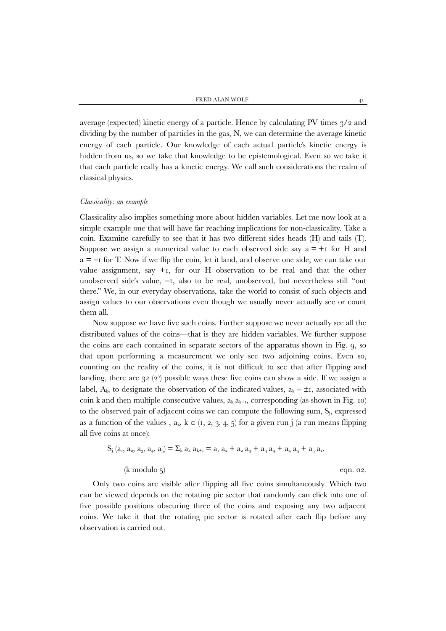average (expected) kinetic energy of a particle. Hence by calculating PV times 3/2 and dividing by the number of particles in the gas, N, we can determine the average kinetic energy of each particle. Our knowledge of each actual particle's kinetic energy is hidden from us, so we take that knowledge to be epistemological. Even so we take it that each particle really has a kinetic energy. We call such considerations the realm of classical physics.

## *Classicality: an example*

Classicality also implies something more about hidden variables. Let me now look at a simple example one that will have far reaching implications for non-classicality. Take a coin. Examine carefully to see that it has two different sides heads (H) and tails (T). Suppose we assign a numerical value to each observed side say  $a = +1$  for H and  $a = -1$  for T. Now if we flip the coin, let it land, and observe one side; we can take our value assignment, say  $+1$ , for our H observation to be real and that the other unobserved side's value, −1, also to be real, unobserved, but nevertheless still "out there." We, in our everyday observations, take the world to consist of such objects and assign values to our observations even though we usually never actually see or count them all.

Now suppose we have five such coins. Further suppose we never actually see all the distributed values of the coins—that is they are hidden variables. We further suppose the coins are each contained in separate sectors of the apparatus shown in Fig. 9, so that upon performing a measurement we only see two adjoining coins. Even so, counting on the reality of the coins, it is not difficult to see that after flipping and landing, there are  $32$   $(2^5)$  possible ways these five coins can show a side. If we assign a label,  $A_k$ , to designate the observation of the indicated values,  $a_k = \pm i$ , associated with coin k and then multiple consecutive values,  $a_k a_{k+1}$ , corresponding (as shown in Fig. 10) to the observed pair of adjacent coins we can compute the following sum,  $S_i$ , expressed as a function of the values,  $a_k$ ,  $k \in (1, 2, 3, 4, 5)$  for a given run j (a run means flipping all five coins at once):

$$
S_j (a_1, a_2, a_3, a_4, a_5) = \sum_k a_k a_{k+1} = a_1 a_2 + a_2 a_3 + a_3 a_4 + a_4 a_5 + a_5 a_1,
$$
  
(k modulo 5) eqn. 02.

Only two coins are visible after flipping all five coins simultaneously. Which two can be viewed depends on the rotating pie sector that randomly can click into one of five possible positions obscuring three of the coins and exposing any two adjacent coins. We take it that the rotating pie sector is rotated after each flip before any observation is carried out.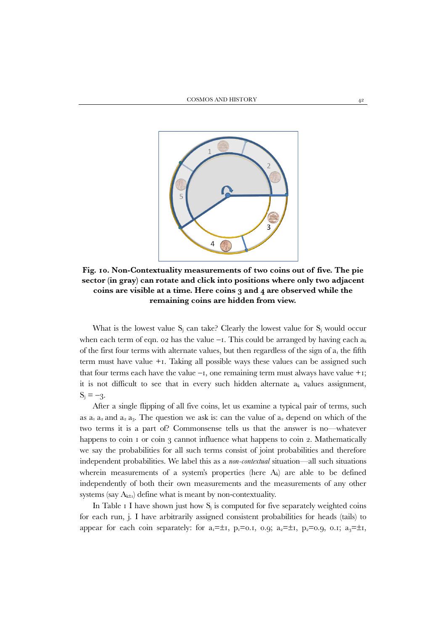

**Fig. 10. Non-Contextuality measurements of two coins out of five. The pie sector (in gray) can rotate and click into positions where only two adjacent coins are visible at a time. Here coins 3 and 4 are observed while the remaining coins are hidden from view.**

What is the lowest value  $S_i$  can take? Clearly the lowest value for  $S_i$  would occur when each term of eqn. 02 has the value −1. This could be arranged by having each ak of the first four terms with alternate values, but then regardless of the sign of  $a_1$  the fifth term must have value +1. Taking all possible ways these values can be assigned such that four terms each have the value  $-i$ , one remaining term must always have value  $+i$ ; it is not difficult to see that in every such hidden alternate  $a_k$  values assignment,  $S_i = -3$ .

After a single flipping of all five coins, let us examine a typical pair of terms, such as  $a_1 a_2$  and  $a_3 a_3$ . The question we ask is: can the value of  $a_2$  depend on which of the two terms it is a part of? Commonsense tells us that the answer is no—whatever happens to coin  $\bar{1}$  or coin  $\bar{3}$  cannot influence what happens to coin 2. Mathematically we say the probabilities for all such terms consist of joint probabilities and therefore independent probabilities. We label this as a *non-contextual* situation—all such situations wherein measurements of a system's properties (here  $A_k$ ) are able to be defined independently of both their own measurements and the measurements of any other systems (say  $A_{k\pm 1}$ ) define what is meant by non-contextuality.

In Table 1 I have shown just how  $S_i$  is computed for five separately weighted coins for each run, j. I have arbitrarily assigned consistent probabilities for heads (tails) to appear for each coin separately: for  $a_1 = \pm 1$ ,  $p_1 = 0.1$ ,  $0.9$ ;  $a_2 = \pm 1$ ,  $p_2 = 0.9$ ,  $0.1$ ;  $a_3 = \pm 1$ ,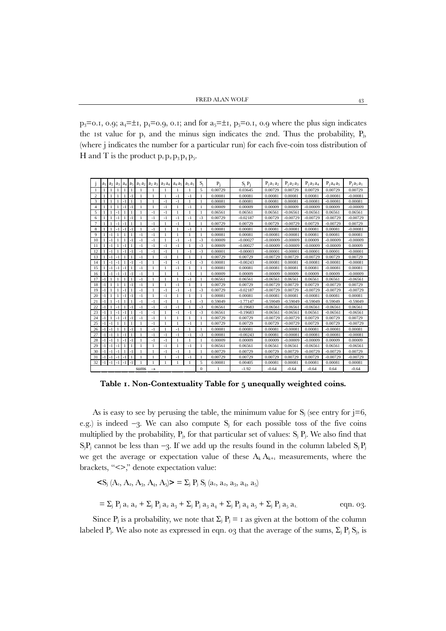$p_3 = 0.1$ , 0.9;  $a_4 = \pm 1$ ,  $p_4 = 0.9$ , 0.1; and for  $a_5 = \pm 1$ ,  $p_5 = 0.1$ , 0.9 where the plus sign indicates the 1st value for p, and the minus sign indicates the 2nd. Thus the probability,  $P_i$ , (where j indicates the number for a particular run) for each five-coin toss distribution of H and T is the product  $p_1 p_2 p_3 p_4 p_5$ .

|                       |         | $a_1$   $a_2$ | a <sub>3</sub> | $a_4$        | a <sub>5</sub> | $a_1 a_2$ | a <sub>2</sub> a <sub>3</sub> | $a_3 a_4$    | $a_4a_5$     | $a_5a_1$     | $S_i$        | P <sub>i</sub> | $S_i P_i$  | $P_1a_1a_2$ | $P_1a_2a_3$ | $P_1a_3a_4$ | $P_1a_4a_5$ | $P_1a_5a_1$ |
|-----------------------|---------|---------------|----------------|--------------|----------------|-----------|-------------------------------|--------------|--------------|--------------|--------------|----------------|------------|-------------|-------------|-------------|-------------|-------------|
| 1                     |         |               |                |              | 1              |           |                               |              |              |              | 5            | 0.00729        | 0.03645    | 0.00729     | 0.00729     | 0.00729     | 0.00729     | 0.00729     |
| $\overline{c}$        |         | $\mathbf{1}$  | $\overline{1}$ |              | $-1$           |           | 1                             | $\mathbf{1}$ | $-1$         | $-1$         | 1            | 0.00081        | 0.00081    | 0.00081     | 0.00081     | 0.00081     | $-0.00081$  | $-0.00081$  |
| 3                     |         | $\mathbf{1}$  | $\overline{1}$ | $-1$         | 1              |           |                               | $-1$         | $-1$         |              | 1            | 0.00081        | 0.00081    | 0.00081     | 0.00081     | $-0.00081$  | $-0.00081$  | 0.00081     |
| $\overline{4}$        |         | $\mathbf{1}$  | $\mathbf{1}$   | $-1$         | $-1$           | 1         | 1                             | $-1$         | $\mathbf{1}$ | $-1$         | 1            | 0.00009        | 0.00009    | 0.00009     | 0.00009     | $-0.00009$  | 0.00009     | $-0.00009$  |
| 5                     |         | $\mathbf{1}$  | $-1$           | $\mathbf{1}$ | 1              | 1         | $-1$                          | $-1$         | 1            | $\mathbf{1}$ | 1            | 0.06561        | 0.06561    | 0.06561     | $-0.06561$  | $-0.06561$  | 0.06561     | 0.06561     |
| 6                     |         | $\mathbf{1}$  | $-1$           | 1            | $-1$           | 1         | $-1$                          | $-1$         | $-1$         | $-1$         | $-3$         | 0.00729        | $-0.02187$ | 0.00729     | $-0.00729$  | $-0.00729$  | $-0.00729$  | $-0.00729$  |
| $\overline{7}$        |         | 1             | - 1            | $-1$         | $\mathbf{1}$   | 1         | $-1$                          | 1            | $-1$         |              | $\mathbf{1}$ | 0.00729        | 0.00729    | 0.00729     | $-0.00729$  | 0.00729     | $-0.00729$  | 0.00729     |
| 8                     |         | $\mathbf{1}$  | $-1$           | $-1$         | $-1$           | 1         | $-1$                          | $\mathbf{1}$ | 1            | $-1$         | 1            | 0.00081        | 0.00081    | 0.00081     | $-0.00081$  | 0.00081     | 0.00081     | $-0.00081$  |
| $\mathbf{Q}$          |         | $-1$          | $\overline{1}$ |              | 1              | $-1$      | $-1$                          | $\mathbf{1}$ | $\mathbf{1}$ | 1            | $\mathbf{1}$ | 0.00081        | 0.00081    | $-0.00081$  | $-0.00081$  | 0.00081     | 0.00081     | 0.00081     |
| 10                    |         | $-1$          | 1              | 1            | $-1$           | $-1$      | $-1$                          | 1            | $-1$         | $-1$         | $-3$         | 0.00009        | $-0.00027$ | $-0.00009$  | $-0.00009$  | 0.00009     | $-0.00009$  | $-0.00009$  |
| 11                    |         | $-1$          | 1              | $-1$         | $\mathbf{1}$   | $-1$      | $-1$                          | $-1$         | $-1$         | 1            | $-3$         | 0.00009        | $-0.00027$ | $-0.00009$  | $-0.00009$  | $-0.00009$  | $-0.00009$  | 0.00009     |
| 12                    |         | $-1$          | 1              | $-1$         | $-1$           | $-1$      | $-1$                          | $-1$         | 1            | $-1$         | $-3$         | 0.00001        | $-0.00003$ | $-0.00001$  | $-0.00001$  | $-0.00001$  | 0.00001     | $-0.00001$  |
| 13                    |         | $-1$          | $-1$           | $\mathbf{1}$ | $\mathbf{1}$   | $-1$      | 1                             | $-1$         | 1            | 1            | $\mathbf{1}$ | 0.00729        | 0.00729    | $-0.00729$  | 0.00729     | $-0.00729$  | 0.00729     | 0.00729     |
| 14                    |         | $-1$          | $-1$           | 1            | $-1$           | $-1$      | 1                             | $-1$         | $-1$         | $-1$         | $-3$         | 0.00081        | $-0.00243$ | $-0.00081$  | 0.00081     | $-0.00081$  | $-0.00081$  | $-0.00081$  |
| 15                    |         | $-1$          | $-1$           | $-1$         | $\mathbf{1}$   | $-1$      | 1                             | 1            | $-1$         | 1            | $\mathbf{1}$ | 0.00081        | 0.00081    | $-0.00081$  | 0.00081     | 0.00081     | $-0.00081$  | 0.00081     |
| 16                    |         | -1            | - 1            | $-1$         | $-1$           | $-1$      | 1                             | 1            | $\mathbf{1}$ | $-1$         | 1            | 0.00009        | 0.00009    | $-0.00009$  | 0.00009     | 0.00009     | 0.00009     | $-0.00009$  |
| 17                    | $-1$    | $\mathbf{1}$  | $\overline{1}$ |              | $\mathbf{1}$   | $-1$      | 1                             | $\mathbf{1}$ | $\mathbf{1}$ | $-1$         | 1            | 0.06561        | 0.06561    | $-0.06561$  | 0.06561     | 0.06561     | 0.06561     | $-0.06561$  |
| 18                    | $-1$    | $\mathbf{1}$  |                | $\mathbf{1}$ | $-1$           | $-1$      |                               | 1            | $-1$         |              | 1            | 0.00729        | 0.00729    | $-0.00729$  | 0.00729     | 0.00729     | $-0.00729$  | 0.00729     |
| 19                    | $-1$    | 1             | $\overline{1}$ | $-1$         | $\mathbf{1}$   | $-1$      | 1                             | $-1$         | $-1$         | $-1$         | $-3$         | 0.00729        | $-0.02187$ | $-0.00729$  | 0.00729     | $-0.00729$  | $-0.00729$  | $-0.00729$  |
| 20                    | -1      | 1             | 1              | $-1$         | $-1$           | $-1$      | 1                             | $-1$         | 1            | 1            | $\mathbf{1}$ | 0.00081        | 0.00081    | $-0.00081$  | 0.00081     | $-0.00081$  | 0.00081     | 0.00081     |
| 21                    | $-1$    | 1             | $-1$           | $\mathbf{1}$ | $\mathbf{1}$   | $-1$      | $-1$                          | $-1$         | $\mathbf{1}$ | $-1$         | $-3$         | 0.59049        | $-1.77147$ | $-0.59049$  | $-0.59049$  | $-0.59049$  | 0.59049     | $-0.59049$  |
| 22                    |         | 1             | - 1            | 1            | $-1$           | $-1$      | $-1$                          | $-1$         | $-1$         |              | $-3$         | 0.06561        | $-0.19683$ | $-0.06561$  | $-0.06561$  | $-0.06561$  | $-0.06561$  | 0.06561     |
| 23                    | - 1     | 1             | $-1$           | -1           | $\mathbf{1}$   | $-1$      | $-1$                          | $\mathbf{1}$ | $-1$         | $-1$         | $-3$         | 0.06561        | $-0.19683$ | $-0.06561$  | $-0.06561$  | 0.06561     | $-0.06561$  | $-0.06561$  |
| 24                    | $-1$    | $\mathbf{1}$  | $-1$           | $-1$         | $-1$           | $-1$      | $-1$                          | 1            | $\mathbf{1}$ | 1            | $\mathbf{1}$ | 0.00729        | 0.00729    | $-0.00729$  | $-0.00729$  | 0.00729     | 0.00729     | 0.00729     |
| 25                    | $-1$    | $-1$          | 1              | 1            | 1              | 1         | $-1$                          | $\mathbf{1}$ | 1            | $-1$         | $\mathbf{1}$ | 0.00729        | 0.00729    | 0.00729     | $-0.00729$  | 0.00729     | 0.00729     | $-0.00729$  |
| 26                    | $-1$    | $\vert$ -1    | 1              | $\mathbf{1}$ | $-1$           | 1         | $-1$                          | 1            | $-1$         | 1            | $\mathbf{1}$ | 0.00081        | 0.00081    | 0.00081     | $-0.00081$  | 0.00081     | $-0.00081$  | 0.00081     |
| 27                    | - 1     | $\vert$ -1    | -1             | $-1$         | -1             | 1         | $-1$                          | $-1$         | $-1$         | $-1$         | $-3$         | 0.00081        | $-0.00243$ | 0.00081     | $-0.00081$  | $-0.00081$  | $-0.00081$  | $-0.00081$  |
| 28                    | -1   -1 |               | 1              | $-1$         | $-1$           | 1         | $-1$                          | $-1$         | 1            | $\mathbf{1}$ | $\mathbf{1}$ | 0.00009        | 0.00009    | 0.00009     | $-0.00009$  | $-0.00009$  | 0.00009     | 0.00009     |
| 29                    | - 1     | $-1$          | $-1$           | 1            | 1              |           | 1                             | $-1$         | 1            | $-1$         | 1            | 0.06561        | 0.06561    | 0.06561     | 0.06561     | $-0.06561$  | 0.06561     | $-0.06561$  |
| 30                    |         | $-1$          | $-1$           | 1            | $-1$           |           | 1                             | $-1$         | $-1$         | 1            | 1            | 0.00729        | 0.00729    | 0.00729     | 0.00729     | $-0.00729$  | $-0.00729$  | 0.00729     |
| 31                    |         | $\lnot$       | - 1            | -1           | 1              | 1         | 1                             | 1            | $-1$         | $-1$         | 1            | 0.00729        | 0.00729    | 0.00729     | 0.00729     | 0.00729     | $-0.00729$  | $-0.00729$  |
| 32                    | $-1$    | $-1$          | - 1            | - 1          | $-1$           |           | 1                             | 1            |              | 1            | 5            | 0.00081        | 0.00405    | 0.00081     | 0.00081     | 0.00081     | 0.00081     | 0.00081     |
| sums<br>$\rightarrow$ |         |               |                |              |                |           |                               |              |              |              | $\Omega$     | 1              | $-1.92$    | $-0.64$     | $-0.64$     | $-0.64$     | 0.64        | $-0.64$     |

**Table 1. Non-Contextuality Table for 5 unequally weighted coins.**

As is easy to see by perusing the table, the minimum value for  $S_i$  (see entry for j=6, e.g.) is indeed  $-3$ . We can also compute S<sub>i</sub> for each possible toss of the five coins multiplied by the probability,  $P_i$ , for that particular set of values:  $S_i P_i$ . We also find that SjPj cannot be less than  $-3$ . If we add up the results found in the column labeled SjPj we get the average or expectation value of these  $A_k A_{k+1}$  measurements, where the brackets, "<>," denote expectation value:

$$
\begin{aligned}\n&\langle S_j \ (A_i, A_2, A_3, A_4, A_5 \rangle > = \sum_j P_j S_j \ (a_i, a_2, a_3, a_4, a_5) \\
&= \sum_j P_j a_1 a_2 + \sum_j P_j a_2 a_3 + \sum_j P_j a_3 a_4 + \sum_j P_j a_4 a_5 + \sum_j P_j a_5 a_1.\n\end{aligned}\n\tag{eqn. 03.}
$$

Since P<sub>i</sub> is a probability, we note that  $\Sigma_i$  P<sub>i</sub> = 1 as given at the bottom of the column labeled P<sub>j</sub>. We also note as expressed in eqn. 03 that the average of the sums,  $\Sigma_i$  P<sub>j</sub> S<sub>j</sub>, is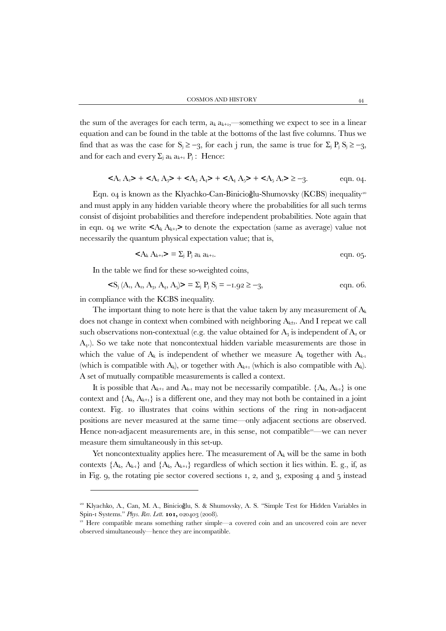the sum of the averages for each term,  $a_k a_{k+i}$ —something we expect to see in a linear equation and can be found in the table at the bottoms of the last five columns. Thus we find that as was the case for  $S_j \ge -3$ , for each j run, the same is true for  $\Sigma_j P_j S_j \ge -3$ , and for each and every  $\Sigma_i$  a<sub>k</sub>  $a_{k+1}$   $P_j$ : Hence:

$$
+  +  +  +  \geq -3.
$$
 eqn. 04.

Eqn. 04 is known as the Klyachko-Can-Binicioğlu-Shumovsky (KCBS) inequality<sup>[20](#page-24-0)</sup> and must apply in any hidden variable theory where the probabilities for all such terms consist of disjoint probabilities and therefore independent probabilities. Note again that in eqn. 04 we write  $\langle A_k A_{k+1} \rangle$  to denote the expectation (same as average) value not necessarily the quantum physical expectation value; that is,

$$
\langle A_k A_{k+1} \rangle = \sum_j P_j a_k a_{k+1}.
$$
eqn. 05.

In the table we find for these so-weighted coins,

$$
\langle S_j (A_1, A_2, A_3, A_4, A_5] \rangle = \sum_j P_j S_j = -1.92 \ge -3,
$$
 eqn. 06.

in compliance with the KCBS inequality.

The important thing to note here is that the value taken by any measurement of  $A_k$ does not change in context when combined with neighboring  $A_{k\pm 1}$ . And I repeat we call such observations non-contextual (e.g. the value obtained for  $A_3$  is independent of  $A_2$  or A4.). So we take note that noncontextual hidden variable measurements are those in which the value of  $A_k$  is independent of whether we measure  $A_k$  together with  $A_{k-1}$ (which is compatible with  $A_k$ ), or together with  $A_{k+1}$  (which is also compatible with  $A_k$ ). A set of mutually compatible measurements is called a context.

It is possible that  $A_{k+1}$  and  $A_{k-1}$  may not be necessarily compatible.  $\{A_k, A_{k-1}\}$  is one context and  $\{A_k, A_{k+1}\}$  is a different one, and they may not both be contained in a joint context. Fig. 10 illustrates that coins within sections of the ring in non-adjacent positions are never measured at the same time—only adjacent sections are observed. Hence non-adjacent measurements are, in this sense, not compatible<sup>21</sup>—we can never measure them simultaneously in this set-up.

Yet noncontextuality applies here. The measurement of  $A_k$  will be the same in both contexts  ${A_k, A_{k-1}}$  and  ${A_k, A_{k+1}}$  regardless of which section it lies within. E. g., if, as in Fig. 9, the rotating pie sector covered sections 1, 2, and 3, exposing 4 and 5 instead

<span id="page-24-0"></span><sup>&</sup>lt;sup>20</sup> Klyachko, A., Can, M. A., Binicioğlu, S. & Shumovsky, A. S. "Simple Test for Hidden Variables in Spin-1 Systems." *Phys. Rev. Lett*. **101,** 020403 (2008).

<span id="page-24-1"></span><sup>&</sup>lt;sup>21</sup> Here compatible means something rather simple—a covered coin and an uncovered coin are never observed simultaneously—hence they are incompatible.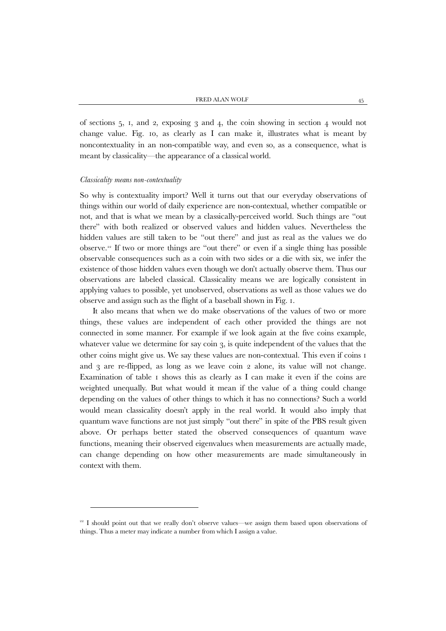of sections 5, 1, and 2, exposing 3 and 4, the coin showing in section 4 would not change value. Fig. 10, as clearly as I can make it, illustrates what is meant by noncontextuality in an non-compatible way, and even so, as a consequence, what is meant by classicality—the appearance of a classical world.

#### *Classicality means non-contextuality*

1

So why is contextuality import? Well it turns out that our everyday observations of things within our world of daily experience are non-contextual, whether compatible or not, and that is what we mean by a classically-perceived world. Such things are "out there" with both realized or observed values and hidden values. Nevertheless the hidden values are still taken to be "out there" and just as real as the values we do observe.[22](#page-25-0) If two or more things are "out there" or even if a single thing has possible observable consequences such as a coin with two sides or a die with six, we infer the existence of those hidden values even though we don't actually observe them. Thus our observations are labeled classical. Classicality means we are logically consistent in applying values to possible, yet unobserved, observations as well as those values we do observe and assign such as the flight of a baseball shown in Fig. 1.

It also means that when we do make observations of the values of two or more things, these values are independent of each other provided the things are not connected in some manner. For example if we look again at the five coins example, whatever value we determine for say coin  $3$ , is quite independent of the values that the other coins might give us. We say these values are non-contextual. This even if coins 1 and 3 are re-flipped, as long as we leave coin 2 alone, its value will not change. Examination of table 1 shows this as clearly as I can make it even if the coins are weighted unequally. But what would it mean if the value of a thing could change depending on the values of other things to which it has no connections? Such a world would mean classicality doesn't apply in the real world. It would also imply that quantum wave functions are not just simply "out there" in spite of the PBS result given above. Or perhaps better stated the observed consequences of quantum wave functions, meaning their observed eigenvalues when measurements are actually made, can change depending on how other measurements are made simultaneously in context with them.

<span id="page-25-0"></span><sup>&</sup>lt;sup>22</sup> I should point out that we really don't observe values—we assign them based upon observations of things. Thus a meter may indicate a number from which I assign a value.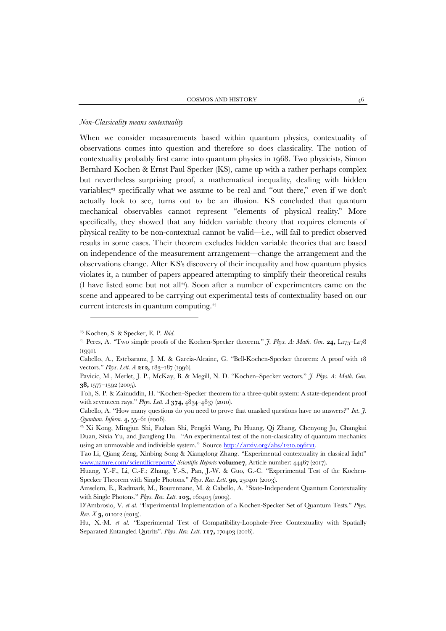## *Non-Classicality means contextuality*

When we consider measurements based within quantum physics, contextuality of observations comes into question and therefore so does classicality. The notion of contextuality probably first came into quantum physics in 1968. Two physicists, Simon Bernhard Kochen & Ernst Paul Specker (KS), came up with a rather perhaps complex but nevertheless surprising proof, a mathematical inequality, dealing with hidden variables;<sup>[23](#page-26-0)</sup> specifically what we assume to be real and "out there," even if we don't actually look to see, turns out to be an illusion. KS concluded that quantum mechanical observables cannot represent "elements of physical reality." More specifically, they showed that any hidden variable theory that requires elements of physical reality to be non-contextual cannot be valid—i.e., will fail to predict observed results in some cases. Their theorem excludes hidden variable theories that are based on independence of the measurement arrangement—change the arrangement and the observations change. After KS's discovery of their inequality and how quantum physics violates it, a number of papers appeared attempting to simplify their theoretical results (I have listed some but not all[24](#page-26-1)). Soon after a number of experimenters came on the scene and appeared to be carrying out experimental tests of contextuality based on our current interests in quantum computing.[25](#page-26-2) 

<span id="page-26-1"></span><span id="page-26-0"></span><sup>&</sup>lt;sup>23</sup> Kochen, S. & Specker, E. P. *Ibid.* 24 Peres, A. "Two simple proofs of the Kochen-Specker theorem." *J. Phys. A: Math. Gen.* **24,** L175–L178  $(1991)$ .

Cabello, A., Estebaranz, J. M. & Garcia-Alcaine, G. "Bell-Kochen-Specker theorem: A proof with 18 vectors." *Phys. Lett. A* **212,** 183–187 (1996).

Pavicic, M., Merlet, J. P., McKay, B. & Megill, N. D. "Kochen–Specker vectors." *J. Phys. A: Math. Gen*. **38,** 1577–1592 (2005).

Toh, S. P. & Zainuddin, H. "Kochen–Specker theorem for a three-qubit system: A state-dependent proof with seventeen rays." *Phys. Lett. A* **374,** 4834–4837 (2010).

Cabello, A. "How many questions do you need to prove that unasked questions have no answers?" *Int. J. Quantum. Inform.* **4,** 55–61 (2006).

<span id="page-26-2"></span><sup>25</sup> Xi Kong, Mingjun Shi, Fazhan Shi, Pengfei Wang, Pu Huang, Qi Zhang, Chenyong Ju, Changkui Duan, Sixia Yu, and Jiangfeng Du. "An experimental test of the non-classicality of quantum mechanics using an unmovable and indivisible system." Source [http://arxiv.org/abs/1210.0961v1.](http://arxiv.org/abs/1210.0961v1) 

Tao Li, Qiang Zeng, Xinbing Song & Xiangdong Zhang. "Experimental contextuality in classical light" [www.nature.com/scientificreports/](http://www.nature.com/scientificreports/) *Scientific Reports* **volume7**, Article number: 44467 (2017).

Huang, Y.-F., Li, C.-F.; Zhang, Y.-S., Pan, J.-W. & Guo, G.-C. "Experimental Test of the Kochen-Specker Theorem with Single Photons." *Phys. Rev. Lett.* **90,** 250401 (2003).

Amselem, E., Radmark, M., Bourennane, M. & Cabello, A. "State-Independent Quantum Contextuality with Single Photons." *Phys. Rev. Lett.* **103,** 160405 (2009).

D'Ambrosio, V. *et al. "*Experimental Implementation of a Kochen-Specker Set of Quantum Tests." *Phys. Rev. X* **3,** 011012 (2013).

Hu, X.-M. *et al. "*Experimental Test of Compatibility-Loophole-Free Contextuality with Spatially Separated Entangled Qutrits". *Phys. Rev. Lett*. **117,** 170403 (2016).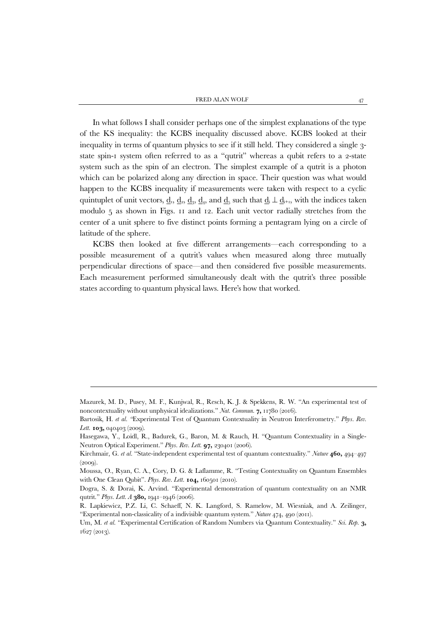In what follows I shall consider perhaps one of the simplest explanations of the type of the KS inequality: the KCBS inequality discussed above. KCBS looked at their inequality in terms of quantum physics to see if it still held. They considered a single 3 state spin-1 system often referred to as a "qutrit" whereas a qubit refers to a 2-state system such as the spin of an electron. The simplest example of a qutrit is a photon which can be polarized along any direction in space. Their question was what would happen to the KCBS inequality if measurements were taken with respect to a cyclic quintuplet of unit vectors,  $\underline{d}_1$ ,  $\underline{d}_2$ ,  $\underline{d}_3$ ,  $\underline{d}_4$ , and  $\underline{d}_5$  such that  $\underline{d}_i \perp \underline{d}_{i+1}$ , with the indices taken modulo 5 as shown in Figs. 11 and 12. Each unit vector radially stretches from the center of a unit sphere to five distinct points forming a pentagram lying on a circle of latitude of the sphere.

KCBS then looked at five different arrangements—each corresponding to a possible measurement of a qutrit's values when measured along three mutually perpendicular directions of space—and then considered five possible measurements. Each measurement performed simultaneously dealt with the qutrit's three possible states according to quantum physical laws. Here's how that worked.

**.** 

Mazurek, M. D., Pusey, M. F., Kunjwal, R., Resch, K. J. & Spekkens, R. W. "An experimental test of noncontextuality without unphysical idealizations." *Nat. Commun.* **7,** 11780 (2016).

Bartosik, H. *et al. "*Experimental Test of Quantum Contextuality in Neutron Interferometry." *Phys. Rev. Lett.* **103,** 040403 (2009).

Hasegawa, Y., Loidl, R., Badurek, G., Baron, M. & Rauch, H. "Quantum Contextuality in a Single-Neutron Optical Experiment." *Phys. Rev. Lett*. **97,** 230401 (2006).

Kirchmair, G. *et al.* "State-independent experimental test of quantum contextuality." *Nature* **460,** 494–497 (2009).

Moussa, O., Ryan, C. A., Cory, D. G. & Laflamme, R. "Testing Contextuality on Quantum Ensembles with One Clean Qubit". *Phys. Rev. Lett.* **104,** 160501 (2010).

Dogra, S. & Dorai, K. Arvind. "Experimental demonstration of quantum contextuality on an NMR qutrit." *Phys. Lett. A* **380,** 1941–1946 (2006).

R. Lapkiewicz, P.Z. Li, C. Schaeff, N. K. Langford, S. Ramelow, M. Wiesniak, and A. Zeilinger, "Experimental non-classicality of a indivisible quantum system." *Nature* 474, 490 (2011).

Um, M. *et al.* "Experimental Certification of Random Numbers via Quantum Contextuality." *Sci. Rep*. **3,**  1627 (2013).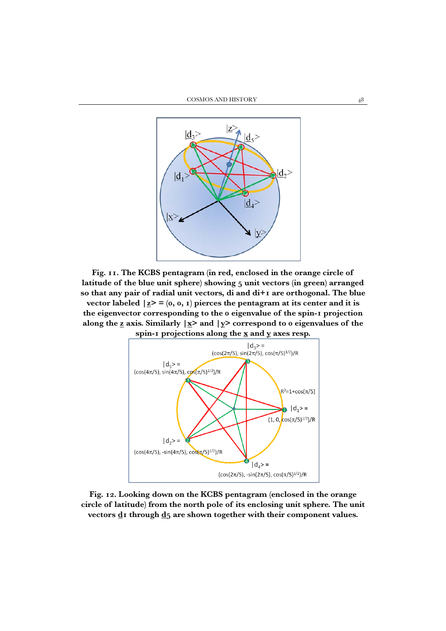

**Fig. 11. The KCBS pentagram (in red, enclosed in the orange circle of latitude of the blue unit sphere) showing 5 unit vectors (in green) arranged so that any pair of radial unit vectors, di and di+1 are orthogonal. The blue vector labeled**  $|\mathbf{z}\rangle = (0, 0, 1)$  pierces the pentagram at its center and it is **the eigenvector corresponding to the 0 eigenvalue of the spin-1 projection**  along the  $\underline{z}$  axis. Similarly  $|\underline{x}\rangle$  and  $|\underline{y}\rangle$  correspond to 0 eigenvalues of the **spin-1 projections along the x and y axes resp.**



**Fig. 12. Looking down on the KCBS pentagram (enclosed in the orange circle of latitude) from the north pole of its enclosing unit sphere. The unit**  vectors d1 through d<sub>5</sub> are shown together with their component values.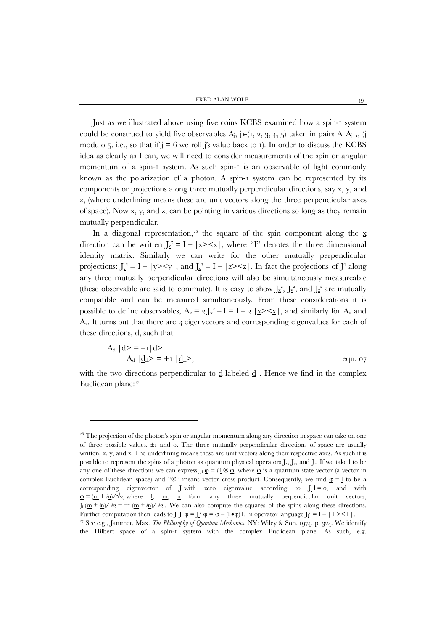Just as we illustrated above using five coins KCBS examined how a spin-1 system could be construed to yield five observables  $A_j$ , j∈(1, 2, 3, 4, 5) taken in pairs  $A_j A_{j+1}$ , (j modulo 5. i.e., so that if  $j = 6$  we roll j's value back to 1). In order to discuss the KCBS idea as clearly as I can, we will need to consider measurements of the spin or angular momentum of a spin-1 system. As such spin-1 is an observable of light commonly known as the polarization of a photon. A spin-1 system can be represented by its components or projections along three mutually perpendicular directions, say  $\underline{x}$ ,  $\underline{y}$ , and z, (where underlining means these are unit vectors along the three perpendicular axes of space). Now  $\underline{x}$ ,  $\underline{y}$ , and  $\underline{z}$ , can be pointing in various directions so long as they remain mutually perpendicular.

In a diagonal representation,<sup>[26](#page-29-0)</sup> the square of the spin component along the  $\overline{x}$ direction can be written  $J_x^2 = I - |\underline{x} \rangle \langle \underline{x}|$ , where "I" denotes the three dimensional identity matrix. Similarly we can write for the other mutually perpendicular projections:  $J_y^2 = I - |y\rangle \langle y|$ , and  $J_z^2 = I - |z\rangle \langle z|$ . In fact the projections of  $J^2$  along any three mutually perpendicular directions will also be simultaneously measureable (these observable are said to commute). It is easy to show  $J_x^2$ ,  $J_y^2$ , and  $J_z^2$  are mutually compatible and can be measured simultaneously. From these considerations it is possible to define observables,  $A_x = 2 \int_{x}^{2} -I = I - 2 \left| \frac{x}{2} \right|$ , and similarly for  $A_y$  and  $A<sub>z</sub>$ . It turns out that there are 3 eigenvectors and corresponding eigenvalues for each of these directions,  $\underline{d}$ , such that

$$
A_{\underline{d}} | \underline{d} \rangle = -1 | \underline{d} \rangle
$$
  
\n
$$
A_{\underline{d}} | \underline{d} \cdot \rangle = +1 | \underline{d} \cdot \rangle,
$$
  
\neqn. 07

with the two directions perpendicular to d labeled  $d_{\perp}$ . Hence we find in the complex Euclidean plane:<sup>27</sup>

**.** 

<span id="page-29-0"></span><sup>&</sup>lt;sup>26</sup> The projection of the photon's spin or angular momentum along any direction in space can take on one of three possible values,  $\pm 1$  and 0. The three mutually perpendicular directions of space are usually written, x, y, and z. The underlining means these are unit vectors along their respective axes. As such it is possible to represent the spins of a photon as quantum physical operators  $J_x$ ,  $J_y$ , and  $J_z$ . If we take 1 to be any one of these directions we can express  $J_1 \underline{\phi} = i \underline{1} \otimes \underline{\phi}$ , where  $\underline{\phi}$  is a quantum state vector (a vector in complex Euclidean space) and "⊗" means vector cross product. Consequently, we find  $\mathbf{Q} = \mathbf{I}$  to be a corresponding eigenvector of  $J_l$  with zero eigenvalue according to  $J_l$   $l = o$ , and with  $\underline{\varphi} = (\underline{m} \pm \underline{i} \underline{n}) / \sqrt{2}$ , where <u>l</u>, <u>m</u>, <u>n</u> form any three mutually perpendicular unit vectors,  $J_1(\underline{m} \pm \underline{i}n)/\sqrt{2} = \pm i (\underline{m} \pm \underline{i}n)/\sqrt{2}$ . We can also compute the squares of the spins along these directions. Further computation then leads to  $J_l J_l \,\phi = J_l^2 \,\phi = \phi - (l \bullet \phi) l$ . In operator language  $J_l^2 = I - l_l > l$ . <sup>27</sup> See e.g., Jammer, Max. *The Philosophy of Quantum Mechanics*. NY: Wiley & Son. 1974. p. 324. We identify

<span id="page-29-1"></span>the Hilbert space of a spin-1 system with the complex Euclidean plane. As such, e.g.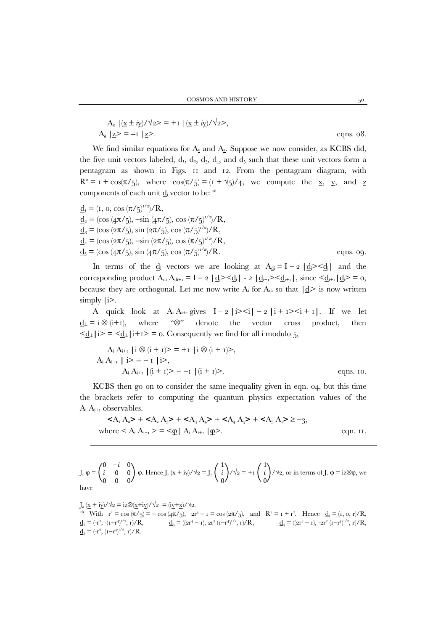$$
A_{\underline{z}} |(\underline{x} \pm i\underline{y})/\sqrt{2} \rangle = +I |(\underline{x} \pm i\underline{y})/\sqrt{2} \rangle,
$$
  
\n
$$
A_{\underline{z}} |z \rangle = -I |z \rangle.
$$
 eqns. o8.

We find similar equations for  $A_{\underline{y}}$  and  $A_{\underline{z}}$ . Suppose we now consider, as KCBS did, the five unit vectors labeled,  $\underline{d}_1$ ,  $\underline{d}_2$ ,  $\underline{d}_3$ ,  $\underline{d}_4$ , and  $\underline{d}_5$  such that these unit vectors form a pentagram as shown in Figs. 11 and 12. From the pentagram diagram, with  $R^2 = I + \cos(\pi/5)$ , where  $\cos(\pi/5) = (I + \sqrt{5})/4$ , we compute the <u>x</u>, y, and z components of each unit  $\underline{d}_i$  vector to be:  $28$ 

$$
\underline{d}_{i} = (r, o, \cos(\pi/5)^{1/2})/R,\n\underline{d}_{2} = (\cos(4\pi/5), -\sin(4\pi/5), \cos(\pi/5)^{1/2})/R,\n\underline{d}_{3} = (\cos(2\pi/5), \sin(2\pi/5), \cos(\pi/5)^{1/2})/R,\n\underline{d}_{4} = (\cos(2\pi/5), -\sin(2\pi/5), \cos(\pi/5)^{1/2})/R,\n\underline{d}_{5} = (\cos(4\pi/5), \sin(4\pi/5), \cos(\pi/5)^{1/2})/R.
$$
eqns. og.

In terms of the  $\underline{d}_i$  vectors we are looking at  $A_{\underline{d}} = I - 2 | \underline{d}_i \geq \underline{d}_i |$  and the corresponding product  $A_{di} A_{di+1} = I - 2 \left| \frac{d_i}{d_i} \right| - 2 \left| \frac{d_i}{d_i+1} \right| \leq \frac{d_i}{d_i+1} \left| \frac{d_i}{d_i} \right| = 0$ , because they are orthogonal. Let me now write  $A_i$  for  $A_d$  so that  $|d_i\rangle$  is now written simply |i>.

A quick look at  $A_i A_{i+1}$  gives  $I - 2 |i \rangle \leq i | - 2 |i + i \rangle \leq i + i |$ . If we let  $d_{\perp} = i \otimes (i + 1)$ , where " $\otimes$ " denote the vector cross product, then  $\leq \underline{d}_\perp | i \geq \leq \leq \underline{d}_\perp | i + i \geq \infty$ . Consequently we find for all i modulo 5,

$$
A_i A_{i+1} | i \otimes (i + 1) > = +1 | i \otimes (i + 1) > ,
$$
  
\n
$$
A_i A_{i+1} | i > = -1 | i > ,
$$
  
\n
$$
A_i A_{i+1} | (i + 1) > = -1 | (i + 1) > .
$$
 eqns. 10.

KCBS then go on to consider the same inequality given in eqn. 04, but this time the brackets refer to computing the quantum physics expectation values of the  $A_i A_{i+1}$  observables.

$$
\langle A_{1} A_{2} \rangle + \langle A_{2} A_{3} \rangle + \langle A_{3} A_{4} \rangle + \langle A_{4} A_{5} \rangle + \langle A_{5} A_{1} \rangle \ge -3,
$$
  
where  $\langle A_{i} A_{i+1} \rangle = \langle \mathcal{Q} | A_{i} A_{i+1} | \mathcal{Q} \rangle$ . eqn. 11.

$$
J_z \underline{\phi} = \begin{pmatrix} 0 & -i & 0 \\ i & 0 & 0 \\ 0 & 0 & 0 \end{pmatrix} \underline{\phi}.
$$
 Hence  $J_z (\underline{x} + i\underline{y})/\sqrt{2} = J_z \begin{pmatrix} 1 \\ i \\ 0 \end{pmatrix} / \sqrt{2} = +i \begin{pmatrix} 1 \\ i \\ 0 \end{pmatrix} / \sqrt{2}$ , or in terms of  $J_z \underline{\phi} = i\underline{z} \otimes \underline{\phi}$ , we have

 $J_z(\underline{x} + i\underline{y})/\sqrt{2} = i\overline{z}\otimes(\underline{x} + i\underline{y})/\sqrt{2} = (i\underline{y} + \underline{x})/\sqrt{2}.$ 

<span id="page-30-0"></span><sup>28</sup> With  $r^2 = \cos(\pi/5) = -\cos(4\pi/5)$ ,  $2r^4 - 1 = \cos(2\pi/5)$ , and  $R^2 = 1 + r^2$ . Hence  $d_1 = (1, 0, r)/R$ ,  $\underline{\mathbf{d}}_2 = (-\mathbf{r}^2, -(\mathbf{I}-\mathbf{r}^4))$  $\underline{d}_3 = ((2r^4 - r), 2r^2 (r - r^4)^{1/2}, r) / R,$   $\underline{d}_4 = ((2r^4 - r), -2r^2 (r - r^4)^{1/2}, r) / R,$  $\underline{\mathbf{d}}_5 = (-\mathbf{r}^2, (\mathbf{I} - \mathbf{r}^4)^{1/2}, \mathbf{r})/\mathbf{R}.$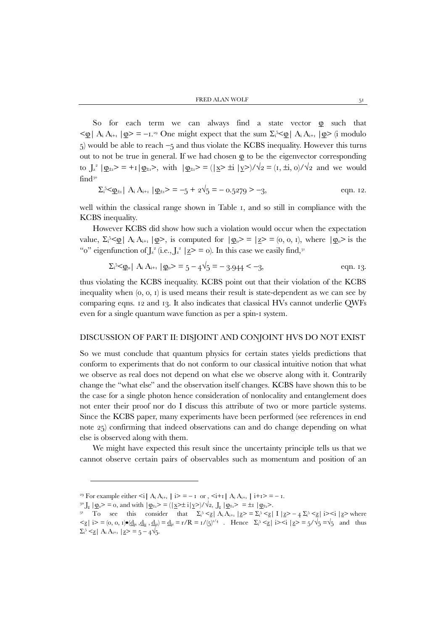So for each term we can always find a state vector  $\varphi$  such that  $\leq \mathbf{Q}$  | A<sub>i</sub> A<sub>i+1</sub>  $|\mathbf{Q}\rangle = -1$ .<sup>[29](#page-31-0)</sup> One might expect that the sum  $\Sigma_i^5 \leq \mathbf{Q}$  | A<sub>i</sub> A<sub>i+1</sub>  $|\mathbf{Q}\rangle$  (i modulo 5) would be able to reach −5 and thus violate the KCBS inequality. However this turns out to not be true in general. If we had chosen  $\Phi$  to be the eigenvector corresponding to  $J_z^2 | \mathbf{Q}_{\pm 1}$  = +1  $|\mathbf{Q}_{\pm 1}$  >, with  $|\mathbf{Q}_{\pm 1}$  =  $(|\mathbf{X} \geq \pm i | \mathbf{Y} \geq)/\sqrt{2}$  =  $(i, \pm i, 0)/\sqrt{2}$  and we would find[30](#page-31-1)

$$
\Sigma_i^5 \le \mathbf{Q}_{\pm i} |A_i A_{i+1} | \mathbf{Q}_{\pm i} \rangle = -5 + 2\sqrt{5} = -0.5279 \rangle -3,
$$
 eqn. 12.

well within the classical range shown in Table 1, and so still in compliance with the KCBS inequality.

However KCBS did show how such a violation would occur when the expectation value,  $\Sigma_i^5 \leq \mathcal{Q} \mid A_i A_{i+1} | \mathcal{Q} >$ , is computed for  $|\mathcal{Q}_0 \rangle = |Z \rangle = (0, 0, 1)$ , where  $|\mathcal{Q}_0 \rangle$  is the "o" eigenfunction of  $J_z^2$  (i.e.,  $J_z^2$  |z> = 0). In this case we easily find,<sup>[31](#page-31-2)</sup>

$$
\Sigma_i^5 \leq \underline{\varphi}_0 | A_i A_{i+1} | \underline{\varphi}_0 \geq 5 - 4\sqrt{5} = -3.944 \leq -3,
$$
 eqn. 13.

thus violating the KCBS inequality. KCBS point out that their violation of the KCBS inequality when  $(0, 0, 1)$  is used means their result is state-dependent as we can see by comparing eqns. 12 and 13. It also indicates that classical HVs cannot underlie QWFs even for a single quantum wave function as per a spin-1 system.

#### DISCUSSION OF PART II: DISJOINT AND CONJOINT HVS DO NOT EXIST

So we must conclude that quantum physics for certain states yields predictions that conform to experiments that do not conform to our classical intuitive notion that what we observe as real does not depend on what else we observe along with it. Contrarily change the "what else" and the observation itself changes. KCBS have shown this to be the case for a single photon hence consideration of nonlocality and entanglement does not enter their proof nor do I discuss this attribute of two or more particle systems. Since the KCBS paper, many experiments have been performed (see references in end note 25) confirming that indeed observations can and do change depending on what else is observed along with them.

We might have expected this result since the uncertainty principle tells us that we cannot observe certain pairs of observables such as momentum and position of an

 $\overline{\phantom{a}}$ 

<span id="page-31-0"></span><sup>&</sup>lt;sup>29</sup> For example either  $\leq i | A_i A_{i+1} | i \geq n - 1$  or ,  $\leq i+1 | A_i A_{i+1} | i+1 \geq n - 1$ .

<span id="page-31-2"></span><span id="page-31-1"></span><sup>&</sup>lt;sup>30</sup> J<sub>z</sub>  $|\,\phi_0\rangle = 0$ , and with  $|\,\phi_{\pm 1}\rangle = (|\,\underline{x} \rangle \pm i |\,\underline{y} \rangle)/\sqrt{2}$ , J<sub>z</sub>  $|\,\phi_{\pm 1}\rangle = \pm i |\,\phi_{\pm 1}\rangle$ .

<sup>&</sup>lt;sup>31</sup> To see this consider that  $\Sigma_i^5 \leq \underline{z} |A_i A_{i+1}| \underline{z} > \Sigma_i^5 \leq \underline{z} |I| \underline{z} > -4 \Sigma_i^5 \leq \underline{z} |i > i| \underline{z} >$  where  $\leq \leq |\mathbf{i}| > 0$ ,  $\mathbf{0}, \mathbf{1} \cdot \mathbf{0} \leq \mathbf{d}_{\mathbf{i}x}, \mathbf{d}_{\mathbf{i}y}, \mathbf{d}_{\mathbf{i}z} = \mathbf{d}_{\mathbf{i}z} = \mathbf{r}/R = \mathbf{1}/(5)^{1/4}$ . Hence  $\Sigma_i^5 \leq |\mathbf{i}| > 1$   $\leq i |z| \leq 5 \leq j \leq 5$  and thus  $\Sigma_i^5 \leq \underline{z} | A_i A_{i+1} | \underline{z} \geq \overline{z} = 5 - 4\sqrt{5}.$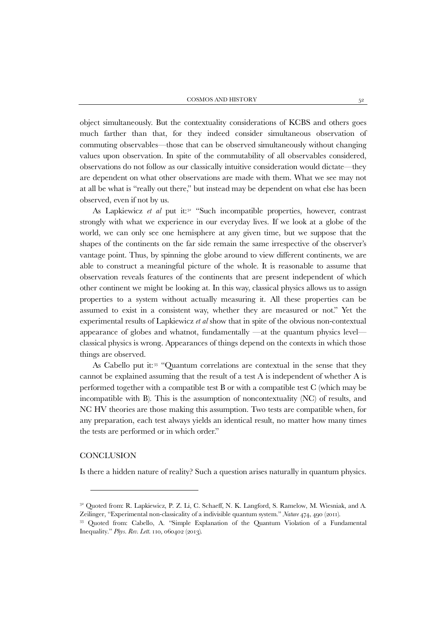object simultaneously. But the contextuality considerations of KCBS and others goes much farther than that, for they indeed consider simultaneous observation of commuting observables—those that can be observed simultaneously without changing values upon observation. In spite of the commutability of all observables considered, observations do not follow as our classically intuitive consideration would dictate—they are dependent on what other observations are made with them. What we see may not at all be what is "really out there," but instead may be dependent on what else has been observed, even if not by us.

As Lapkiewicz *et al* put it:<sup>[32](#page-32-0)</sup> "Such incompatible properties, however, contrast strongly with what we experience in our everyday lives. If we look at a globe of the world, we can only see one hemisphere at any given time, but we suppose that the shapes of the continents on the far side remain the same irrespective of the observer's vantage point. Thus, by spinning the globe around to view different continents, we are able to construct a meaningful picture of the whole. It is reasonable to assume that observation reveals features of the continents that are present independent of which other continent we might be looking at. In this way, classical physics allows us to assign properties to a system without actually measuring it. All these properties can be assumed to exist in a consistent way, whether they are measured or not." Yet the experimental results of Lapkiewicz *et al* show that in spite of the obvious non-contextual appearance of globes and whatnot, fundamentally —at the quantum physics level classical physics is wrong. Appearances of things depend on the contexts in which those things are observed.

As Cabello put it:[33](#page-32-1) "Quantum correlations are contextual in the sense that they cannot be explained assuming that the result of a test A is independent of whether A is performed together with a compatible test B or with a compatible test C (which may be incompatible with B). This is the assumption of noncontextuality (NC) of results, and NC HV theories are those making this assumption. Two tests are compatible when, for any preparation, each test always yields an identical result, no matter how many times the tests are performed or in which order."

#### **CONCLUSION**

Is there a hidden nature of reality? Such a question arises naturally in quantum physics.

<span id="page-32-0"></span><sup>32</sup> Quoted from: R. Lapkiewicz, P. Z. Li, C. Schaeff, N. K. Langford, S. Ramelow, M. Wiesniak, and A. Zeilinger, "Experimental non-classicality of a indivisible quantum system." *Nature* 474, 490 (2011).

<span id="page-32-1"></span><sup>33</sup> Quoted from: Cabello, A. "Simple Explanation of the Quantum Violation of a Fundamental Inequality." *Phys. Rev. Lett.* 110, 060402 (2013).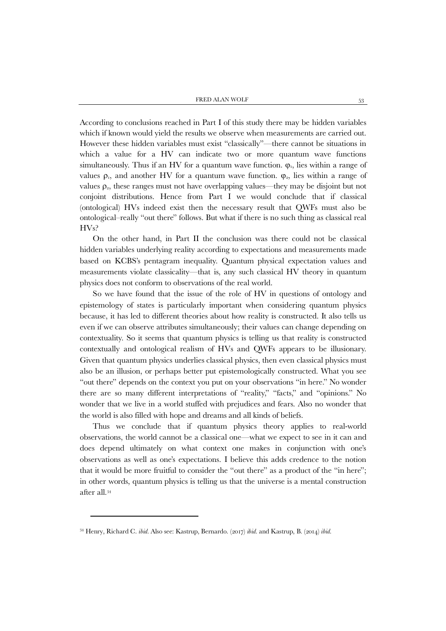FRED ALAN WOLF 53

According to conclusions reached in Part I of this study there may be hidden variables which if known would yield the results we observe when measurements are carried out. However these hidden variables must exist "classically"—there cannot be situations in which a value for a HV can indicate two or more quantum wave functions simultaneously. Thus if an HV for a quantum wave function.  $\varphi_1$ , lies within a range of values  $\rho_1$ , and another HV for a quantum wave function.  $\varphi_2$ , lies within a range of values  $\rho$ <sub>2</sub>, these ranges must not have overlapping values—they may be disjoint but not conjoint distributions. Hence from Part I we would conclude that if classical (ontological) HVs indeed exist then the necessary result that QWFs must also be ontological–really "out there" follows. But what if there is no such thing as classical real HVs?

On the other hand, in Part II the conclusion was there could not be classical hidden variables underlying reality according to expectations and measurements made based on KCBS's pentagram inequality. Quantum physical expectation values and measurements violate classicality—that is, any such classical HV theory in quantum physics does not conform to observations of the real world.

So we have found that the issue of the role of HV in questions of ontology and epistemology of states is particularly important when considering quantum physics because, it has led to different theories about how reality is constructed. It also tells us even if we can observe attributes simultaneously; their values can change depending on contextuality. So it seems that quantum physics is telling us that reality is constructed contextually and ontological realism of HVs and QWFs appears to be illusionary. Given that quantum physics underlies classical physics, then even classical physics must also be an illusion, or perhaps better put epistemologically constructed. What you see "out there" depends on the context you put on your observations "in here." No wonder there are so many different interpretations of "reality," "facts," and "opinions." No wonder that we live in a world stuffed with prejudices and fears. Also no wonder that the world is also filled with hope and dreams and all kinds of beliefs.

Thus we conclude that if quantum physics theory applies to real-world observations, the world cannot be a classical one—what we expect to see in it can and does depend ultimately on what context one makes in conjunction with one's observations as well as one's expectations. I believe this adds credence to the notion that it would be more fruitful to consider the "out there" as a product of the "in here"; in other words, quantum physics is telling us that the universe is a mental construction after all.[34](#page-33-0)

**.** 

<span id="page-33-0"></span><sup>34</sup> Henry, Richard C. *ibid.* Also see: Kastrup, Bernardo. (2017) *ibid.* and Kastrup, B. (2014) *ibid*.